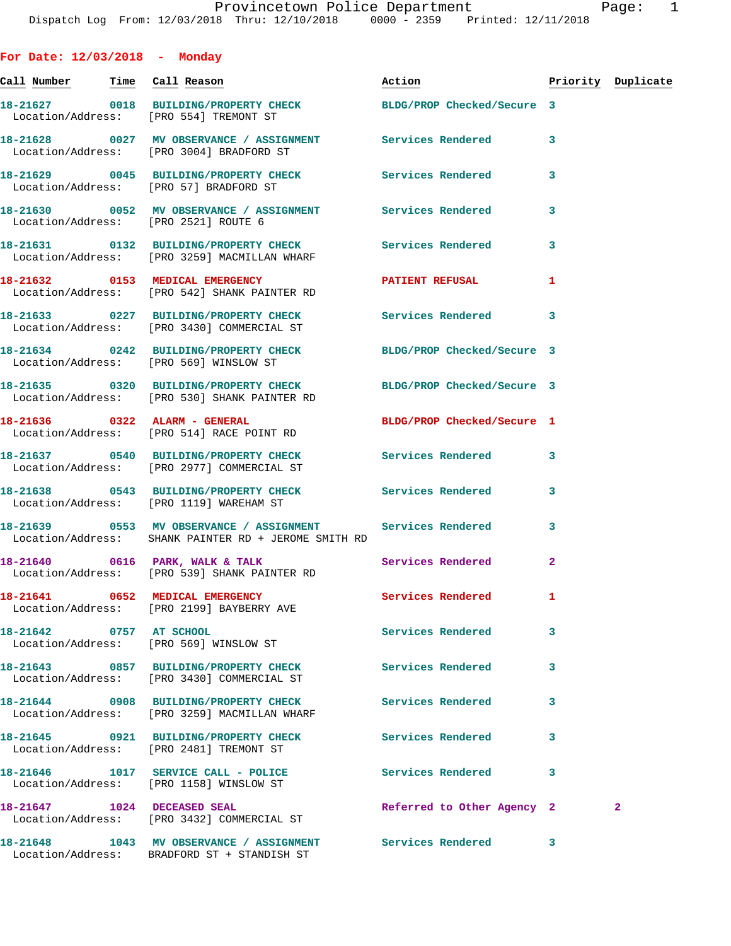**For Date: 12/03/2018 - Monday Call Number Time Call Reason Action Priority Duplicate 18-21627 0018 BUILDING/PROPERTY CHECK BLDG/PROP Checked/Secure 3**  Location/Address: [PRO 554] TREMONT ST **18-21628 0027 MV OBSERVANCE / ASSIGNMENT Services Rendered 3**  Location/Address: [PRO 3004] BRADFORD ST **18-21629 0045 BUILDING/PROPERTY CHECK Services Rendered 3**  Location/Address: [PRO 57] BRADFORD ST **18-21630 0052 MV OBSERVANCE / ASSIGNMENT Services Rendered 3**  Location/Address: [PRO 2521] ROUTE 6 **18-21631 0132 BUILDING/PROPERTY CHECK Services Rendered 3**  Location/Address: [PRO 3259] MACMILLAN WHARF **18-21632 0153 MEDICAL EMERGENCY PATIENT REFUSAL 1**  Location/Address: [PRO 542] SHANK PAINTER RD **18-21633 0227 BUILDING/PROPERTY CHECK Services Rendered 3**  Location/Address: [PRO 3430] COMMERCIAL ST **18-21634 0242 BUILDING/PROPERTY CHECK BLDG/PROP Checked/Secure 3**  Location/Address: [PRO 569] WINSLOW ST **18-21635 0320 BUILDING/PROPERTY CHECK BLDG/PROP Checked/Secure 3**  Location/Address: [PRO 530] SHANK PAINTER RD **18-21636 0322 ALARM - GENERAL BLDG/PROP Checked/Secure 1**  Location/Address: [PRO 514] RACE POINT RD **18-21637 0540 BUILDING/PROPERTY CHECK Services Rendered 3**  Location/Address: [PRO 2977] COMMERCIAL ST **18-21638 0543 BUILDING/PROPERTY CHECK Services Rendered 3**  Location/Address: [PRO 1119] WAREHAM ST **18-21639 0553 MV OBSERVANCE / ASSIGNMENT Services Rendered 3**  Location/Address: SHANK PAINTER RD + JEROME SMITH RD 18-21640 0616 PARK, WALK & TALK Services Rendered 2 Location/Address: [PRO 539] SHANK PAINTER RD **18-21641 0652 MEDICAL EMERGENCY Services Rendered 1**  Location/Address: [PRO 2199] BAYBERRY AVE **18-21642 0757 AT SCHOOL Services Rendered 3**  Location/Address: [PRO 569] WINSLOW ST **18-21643 0857 BUILDING/PROPERTY CHECK Services Rendered 3**  Location/Address: [PRO 3430] COMMERCIAL ST **18-21644 0908 BUILDING/PROPERTY CHECK Services Rendered 3**  Location/Address: [PRO 3259] MACMILLAN WHARF **18-21645 0921 BUILDING/PROPERTY CHECK Services Rendered 3**  Location/Address: [PRO 2481] TREMONT ST **18-21646 1017 SERVICE CALL - POLICE Services Rendered 3**  Location/Address: [PRO 1158] WINSLOW ST **18-21647 1024 DECEASED SEAL Referred to Other Agency 2 2** 

**18-21648 1043 MV OBSERVANCE / ASSIGNMENT Services Rendered 3**  Location/Address: BRADFORD ST + STANDISH ST

Location/Address: [PRO 3432] COMMERCIAL ST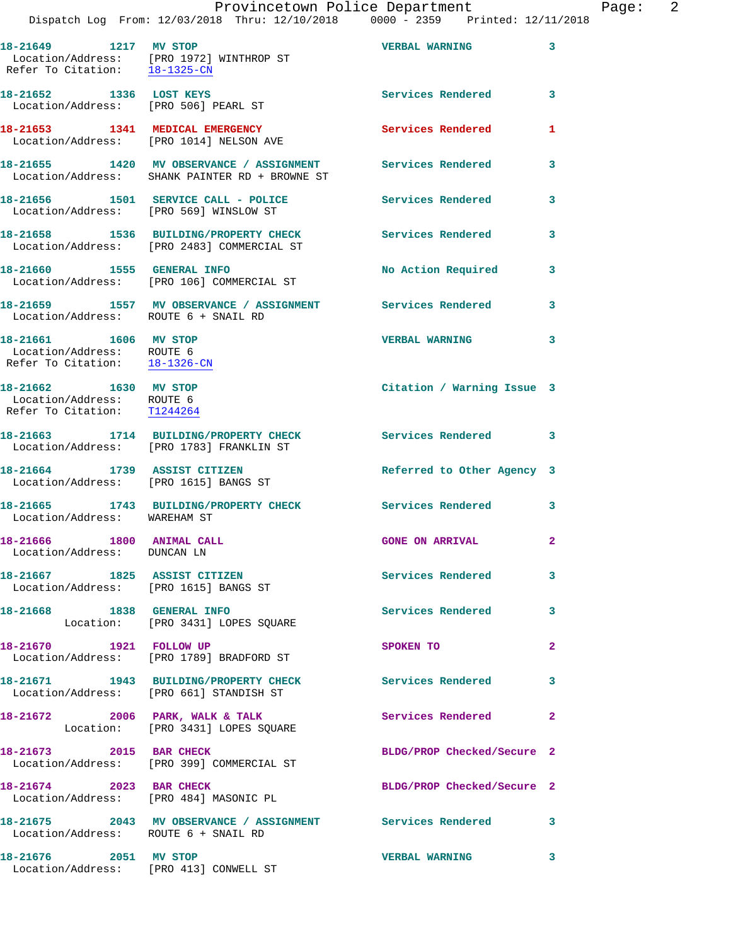| Provincetown Police Department |          |  |  | Page:        | -2 |                                                                                |  |  |  |
|--------------------------------|----------|--|--|--------------|----|--------------------------------------------------------------------------------|--|--|--|
|                                |          |  |  |              |    | Dispatch Log From: 12/03/2018 Thru: 12/10/2018 0000 - 2359 Printed: 12/11/2018 |  |  |  |
|                                | 18-21649 |  |  | 1217 MV STOP |    | VERBAL WARNING                                                                 |  |  |  |

**18-21649 1217 MV STOP VERBAL WARNING 3**  Location/Address: [PRO 1972] WINTHROP ST Refer To Citation: 18-1325-CN **18-21652 1336 LOST KEYS Services Rendered 3**  Location/Address: [PRO 506] PEARL ST **18-21653 1341 MEDICAL EMERGENCY Services Rendered 1**  Location/Address: [PRO 1014] NELSON AVE **18-21655 1420 MV OBSERVANCE / ASSIGNMENT Services Rendered 3**  Location/Address: SHANK PAINTER RD + BROWNE ST **18-21656 1501 SERVICE CALL - POLICE Services Rendered 3**  Location/Address: [PRO 569] WINSLOW ST **18-21658 1536 BUILDING/PROPERTY CHECK Services Rendered 3**  Location/Address: [PRO 2483] COMMERCIAL ST **18-21660 1555 GENERAL INFO No Action Required 3**  Location/Address: [PRO 106] COMMERCIAL ST **18-21659 1557 MV OBSERVANCE / ASSIGNMENT Services Rendered 3**  Location/Address: ROUTE 6 + SNAIL RD **18-21661 1606 MV STOP VERBAL WARNING 3**  Location/Address: ROUTE 6 Refer To Citation: 18-1326-CN **18-21662 1630 MV STOP Citation / Warning Issue 3**  Location/Address: ROUTE 6 Refer To Citation: T1244264 **18-21663 1714 BUILDING/PROPERTY CHECK Services Rendered 3**  Location/Address: [PRO 1783] FRANKLIN ST **18-21664 1739 ASSIST CITIZEN Referred to Other Agency 3**  Location/Address: [PRO 1615] BANGS ST **18-21665 1743 BUILDING/PROPERTY CHECK Services Rendered 3**  Location/Address: WAREHAM ST **18-21666 1800 ANIMAL CALL GONE ON ARRIVAL 2**  Location/Address: DUNCAN LN **18-21667 1825 ASSIST CITIZEN Services Rendered 3**  Location/Address: [PRO 1615] BANGS ST **18-21668 1838 GENERAL INFO Services Rendered 3**  Location: [PRO 3431] LOPES SQUARE **18-21670 1921 FOLLOW UP SPOKEN TO 2**  Location/Address: [PRO 1789] BRADFORD ST **18-21671 1943 BUILDING/PROPERTY CHECK Services Rendered 3**  Location/Address: [PRO 661] STANDISH ST 18-21672 2006 PARK, WALK & TALK **Services Rendered** 2 Location: [PRO 3431] LOPES SQUARE 18-21673 2015 BAR CHECK BLDG/PROP Checked/Secure 2 Location/Address: [PRO 399] COMMERCIAL ST **18-21674 2023 BAR CHECK BLDG/PROP Checked/Secure 2**  Location/Address: [PRO 484] MASONIC PL **18-21675 2043 MV OBSERVANCE / ASSIGNMENT Services Rendered 3** 

 Location/Address: ROUTE 6 + SNAIL RD **18-21676 2051 MV STOP VERBAL WARNING 3**  Location/Address: [PRO 413] CONWELL ST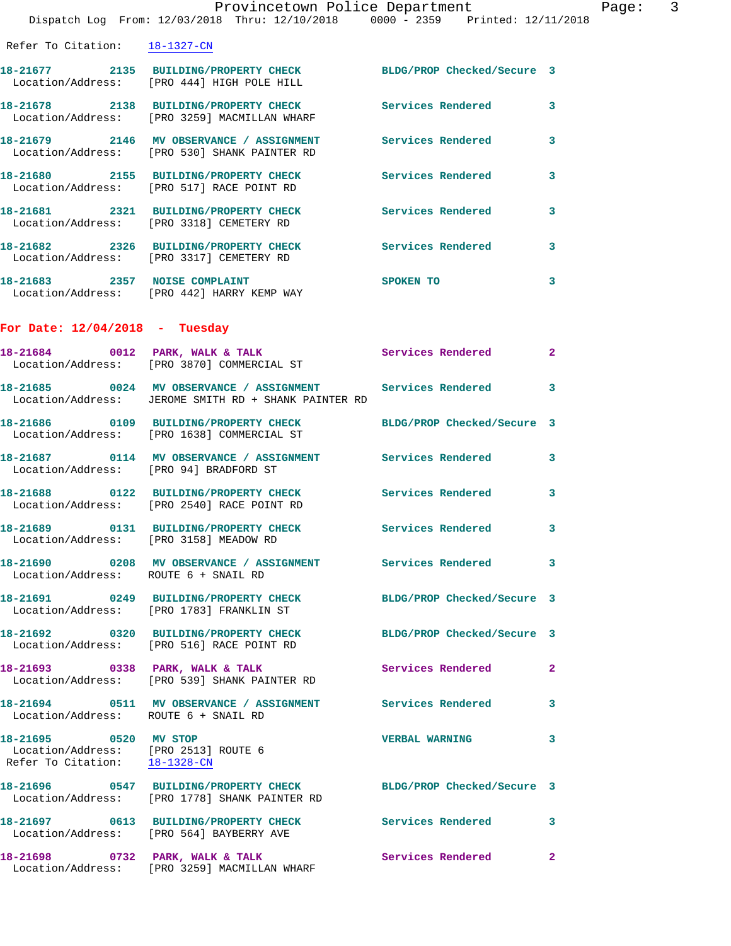|                                                                                                | Provincetown Police Department                                                                                     |                            |              |
|------------------------------------------------------------------------------------------------|--------------------------------------------------------------------------------------------------------------------|----------------------------|--------------|
|                                                                                                | Dispatch Log From: 12/03/2018 Thru: 12/10/2018 0000 - 2359 Printed: 12/11/2018                                     |                            |              |
| Refer To Citation: 18-1327-CN                                                                  |                                                                                                                    |                            |              |
|                                                                                                | 18-21677 2135 BUILDING/PROPERTY CHECK BLDG/PROP Checked/Secure 3<br>Location/Address: [PRO 444] HIGH POLE HILL     |                            |              |
|                                                                                                | 18-21678 2138 BUILDING/PROPERTY CHECK Services Rendered<br>Location/Address: [PRO 3259] MACMILLAN WHARF            |                            | 3            |
|                                                                                                | 18-21679 2146 MV OBSERVANCE / ASSIGNMENT Services Rendered<br>Location/Address: [PRO 530] SHANK PAINTER RD         |                            | 3            |
|                                                                                                | 18-21680 2155 BUILDING/PROPERTY CHECK Services Rendered<br>Location/Address: [PRO 517] RACE POINT RD               |                            | 3            |
|                                                                                                | 18-21681 2321 BUILDING/PROPERTY CHECK<br>Location/Address: [PRO 3318] CEMETERY RD                                  | <b>Services Rendered</b>   | 3            |
|                                                                                                | 18-21682 2326 BUILDING/PROPERTY CHECK Services Rendered<br>Location/Address: [PRO 3317] CEMETERY RD                |                            | 3            |
|                                                                                                | 18-21683 2357 NOISE COMPLAINT<br>Location/Address: [PRO 442] HARRY KEMP WAY                                        | SPOKEN TO                  | 3            |
| For Date: $12/04/2018$ - Tuesday                                                               |                                                                                                                    |                            |              |
|                                                                                                | 18-21684 0012 PARK, WALK & TALK<br>Location/Address: [PRO 3870] COMMERCIAL ST                                      | <b>Services Rendered</b>   | $\mathbf{2}$ |
|                                                                                                | 18-21685 0024 MV OBSERVANCE / ASSIGNMENT Services Rendered<br>Location/Address: JEROME SMITH RD + SHANK PAINTER RD |                            | 3            |
|                                                                                                | 18-21686 0109 BUILDING/PROPERTY CHECK<br>Location/Address: [PRO 1638] COMMERCIAL ST                                | BLDG/PROP Checked/Secure 3 |              |
| Location/Address: [PRO 94] BRADFORD ST                                                         |                                                                                                                    |                            | 3            |
|                                                                                                | 18-21688 0122 BUILDING/PROPERTY CHECK Services Rendered<br>Location/Address: [PRO 2540] RACE POINT RD              |                            | 3            |
| Location/Address: [PRO 3158] MEADOW RD                                                         |                                                                                                                    | <b>Services Rendered</b>   | $\mathbf{3}$ |
| Location/Address: ROUTE 6 + SNAIL RD                                                           | 18-21690 0208 MV OBSERVANCE / ASSIGNMENT Services Rendered                                                         |                            | 3            |
|                                                                                                | 18-21691 0249 BUILDING/PROPERTY CHECK BLDG/PROP Checked/Secure 3<br>Location/Address: [PRO 1783] FRANKLIN ST       |                            |              |
|                                                                                                | 18-21692 0320 BUILDING/PROPERTY CHECK<br>Location/Address: [PRO 516] RACE POINT RD                                 | BLDG/PROP Checked/Secure 3 |              |
|                                                                                                | 18-21693 0338 PARK, WALK & TALK<br>Location/Address: [PRO 539] SHANK PAINTER RD                                    | Services Rendered          | $\mathbf{2}$ |
| Location/Address: ROUTE 6 + SNAIL RD                                                           |                                                                                                                    |                            | 3            |
| 18-21695 0520 MV STOP<br>Location/Address: [PRO 2513] ROUTE 6<br>Refer To Citation: 18-1328-CN |                                                                                                                    | <b>VERBAL WARNING</b>      | 3            |
|                                                                                                | 18-21696 0547 BUILDING/PROPERTY CHECK BLDG/PROP Checked/Secure 3<br>Location/Address: [PRO 1778] SHANK PAINTER RD  |                            |              |
|                                                                                                | 18-21697 0613 BUILDING/PROPERTY CHECK Services Rendered<br>Location/Address: [PRO 564] BAYBERRY AVE                |                            | 3            |
| 18-21698 0732 PARK, WALK & TALK                                                                |                                                                                                                    | Services Rendered          | $\mathbf{2}$ |

Location/Address: [PRO 3259] MACMILLAN WHARF

Page: 3<br>18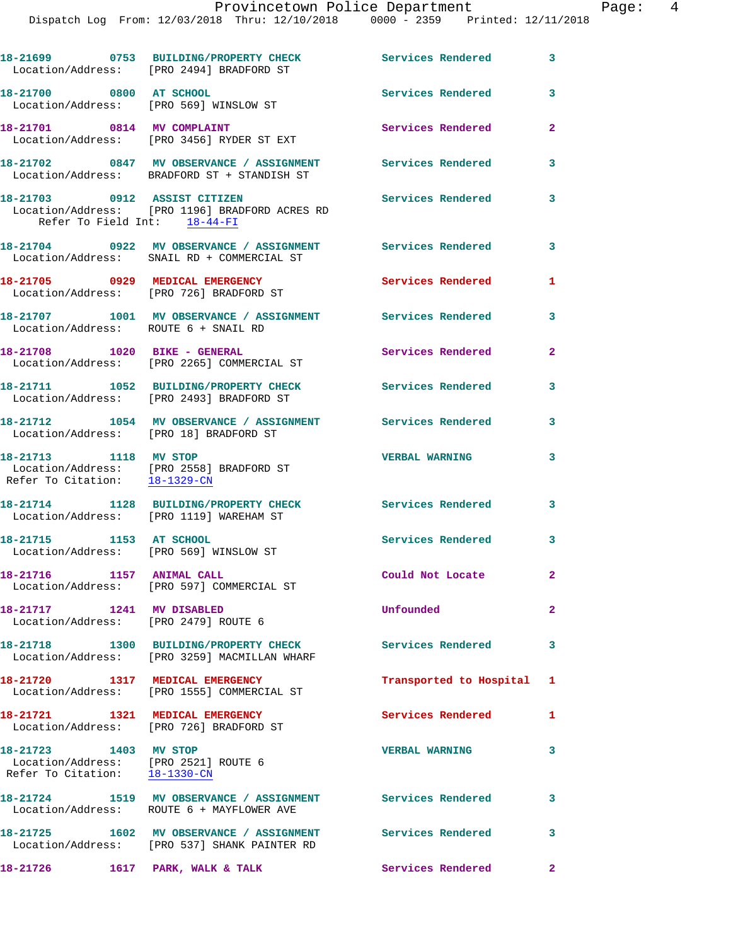Dispatch Log From: 12/03/2018 Thru: 12/10/2018 0000 - 2359 Printed: 12/11/2018

|                                                                                                | 18-21699 0753 BUILDING/PROPERTY CHECK<br>Location/Address: [PRO 2494] BRADFORD ST                          | Services Rendered          | $\mathbf{3}$   |
|------------------------------------------------------------------------------------------------|------------------------------------------------------------------------------------------------------------|----------------------------|----------------|
| 18-21700 0800 AT SCHOOL                                                                        | Location/Address: [PRO 569] WINSLOW ST                                                                     | Services Rendered          | 3              |
|                                                                                                | 18-21701 0814 MV COMPLAINT<br>Location/Address: [PRO 3456] RYDER ST EXT                                    | Services Rendered          | $\overline{a}$ |
|                                                                                                | 18-21702 0847 MV OBSERVANCE / ASSIGNMENT<br>Location/Address: BRADFORD ST + STANDISH ST                    | <b>Services Rendered</b>   | 3              |
| 18-21703 0912 ASSIST CITIZEN<br>Refer To Field Int: 18-44-FI                                   | Location/Address: [PRO 1196] BRADFORD ACRES RD                                                             | Services Rendered          | 3              |
|                                                                                                | 18-21704 0922 MV OBSERVANCE / ASSIGNMENT Services Rendered 3<br>Location/Address: SNAIL RD + COMMERCIAL ST |                            |                |
|                                                                                                | 18-21705 0929 MEDICAL EMERGENCY<br>Location/Address: [PRO 726] BRADFORD ST                                 | Services Rendered          | 1              |
| Location/Address: ROUTE 6 + SNAIL RD                                                           | 18-21707 1001 MV OBSERVANCE / ASSIGNMENT Services Rendered                                                 |                            | $\mathbf{3}$   |
|                                                                                                | Location/Address: [PRO 2265] COMMERCIAL ST                                                                 | Services Rendered          | $\mathbf{2}$   |
|                                                                                                | 18-21711 1052 BUILDING/PROPERTY CHECK<br>Location/Address: [PRO 2493] BRADFORD ST                          | Services Rendered          | 3              |
| Location/Address: [PRO 18] BRADFORD ST                                                         | 18-21712 1054 MV OBSERVANCE / ASSIGNMENT Services Rendered                                                 |                            | $\mathbf{3}$   |
| 18-21713 1118 MV STOP<br>Refer To Citation: 18-1329-CN                                         | Location/Address: [PRO 2558] BRADFORD ST                                                                   | <b>VERBAL WARNING</b>      | 3              |
|                                                                                                | 18-21714 1128 BUILDING/PROPERTY CHECK Services Rendered 3<br>Location/Address: [PRO 1119] WAREHAM ST       |                            |                |
| 18-21715 1153 AT SCHOOL                                                                        | Location/Address: [PRO 569] WINSLOW ST                                                                     | Services Rendered 3        |                |
| 18-21716 1157 ANIMAL CALL                                                                      | Location/Address: [PRO 597] COMMERCIAL ST                                                                  | Could Not Locate           |                |
| 18-21717 1241 MV DISABLED<br>Location/Address: [PRO 2479] ROUTE 6                              |                                                                                                            | Unfounded                  | $\overline{2}$ |
|                                                                                                | 18-21718 1300 BUILDING/PROPERTY CHECK<br>Location/Address: [PRO 3259] MACMILLAN WHARF                      | <b>Services Rendered</b>   | 3              |
| 18-21720 1317 MEDICAL EMERGENCY                                                                | Location/Address: [PRO 1555] COMMERCIAL ST                                                                 | Transported to Hospital 1  |                |
| 18-21721 1321 MEDICAL EMERGENCY                                                                | Location/Address: [PRO 726] BRADFORD ST                                                                    | Services Rendered          | $\mathbf{1}$   |
| 18-21723 1403 MV STOP<br>Location/Address: [PRO 2521] ROUTE 6<br>Refer To Citation: 18-1330-CN |                                                                                                            | <b>VERBAL WARNING</b>      | 3              |
|                                                                                                | 18-21724 1519 MV OBSERVANCE / ASSIGNMENT Services Rendered 3<br>Location/Address: ROUTE 6 + MAYFLOWER AVE  |                            |                |
|                                                                                                | 18-21725 1602 MV OBSERVANCE / ASSIGNMENT Services Rendered<br>Location/Address: [PRO 537] SHANK PAINTER RD |                            | 3              |
| 18-21726 1617 PARK, WALK & TALK                                                                |                                                                                                            | <b>Services Rendered</b> 2 |                |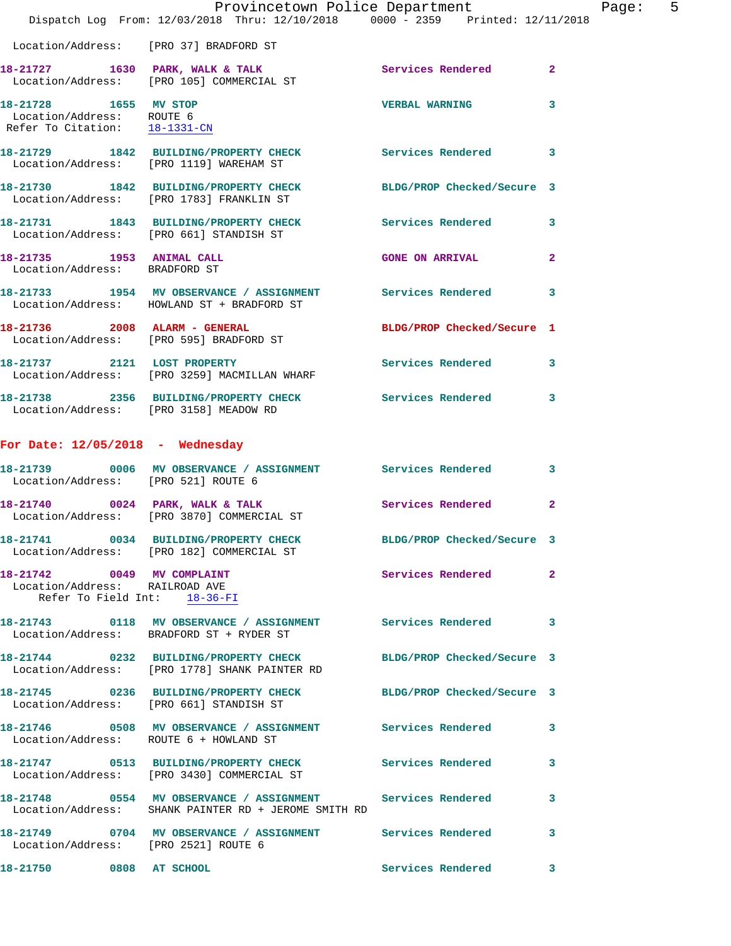|                                                                                                | Provincetown Police Department<br>Dispatch Log From: 12/03/2018 Thru: 12/10/2018 0000 - 2359 Printed: 12/11/2018   |                            | Pag            |
|------------------------------------------------------------------------------------------------|--------------------------------------------------------------------------------------------------------------------|----------------------------|----------------|
|                                                                                                | Location/Address: [PRO 37] BRADFORD ST                                                                             |                            |                |
|                                                                                                | 18-21727 1630 PARK, WALK & TALK STARE Services Rendered Location/Address: [PRO 105] COMMERCIAL ST                  |                            | $\mathbf{2}$   |
| 18-21728 1655 MV STOP<br>Location/Address: ROUTE 6<br>Refer To Citation: 18-1331-CN            |                                                                                                                    | <b>VERBAL WARNING</b>      | 3              |
|                                                                                                | 18-21729 1842 BUILDING/PROPERTY CHECK Services Rendered 3<br>Location/Address: [PRO 1119] WAREHAM ST               |                            |                |
|                                                                                                | 18-21730 1842 BUILDING/PROPERTY CHECK BLDG/PROP Checked/Secure 3<br>Location/Address: [PRO 1783] FRANKLIN ST       |                            |                |
|                                                                                                | 18-21731 1843 BUILDING/PROPERTY CHECK Services Rendered 3<br>Location/Address: [PRO 661] STANDISH ST               |                            |                |
| 18-21735 1953 ANIMAL CALL<br>Location/Address: BRADFORD ST                                     |                                                                                                                    | <b>GONE ON ARRIVAL</b>     | $\overline{a}$ |
|                                                                                                | 18-21733 1954 MV OBSERVANCE / ASSIGNMENT Services Rendered 3<br>Location/Address: HOWLAND ST + BRADFORD ST         |                            |                |
|                                                                                                | 18-21736 2008 ALARM - GENERAL<br>Location/Address: [PRO 595] BRADFORD ST                                           | BLDG/PROP Checked/Secure 1 |                |
|                                                                                                | 18-21737 2121 LOST PROPERTY<br>Location/Address: [PRO 3259] MACMILLAN WHARF                                        | Services Rendered 3        |                |
|                                                                                                | 18-21738 2356 BUILDING/PROPERTY CHECK Services Rendered<br>Location/Address: [PRO 3158] MEADOW RD                  |                            | 3              |
| For Date: $12/05/2018$ - Wednesday                                                             |                                                                                                                    |                            |                |
|                                                                                                | 18-21739 0006 MV OBSERVANCE / ASSIGNMENT Services Rendered<br>Location/Address: [PRO 521] ROUTE 6                  |                            | 3              |
|                                                                                                | 18-21740 0024 PARK, WALK & TALK<br>Location/Address: [PRO 3870] COMMERCIAL ST                                      | Services Rendered          | $\overline{a}$ |
|                                                                                                | 18-21741 0034 BUILDING/PROPERTY CHECK<br>Location/Address: [PRO 182] COMMERCIAL ST                                 | BLDG/PROP Checked/Secure 3 |                |
| 18-21742 0049 MV COMPLAINT<br>Location/Address: RAILROAD AVE<br>Refer To Field Int: $18-36-FI$ |                                                                                                                    | Services Rendered          | $\overline{a}$ |
|                                                                                                | 18-21743 0118 MV OBSERVANCE / ASSIGNMENT Services Rendered<br>Location/Address: BRADFORD ST + RYDER ST             |                            | 3              |
|                                                                                                | 18-21744 0232 BUILDING/PROPERTY CHECK BLDG/PROP Checked/Secure 3<br>Location/Address: [PRO 1778] SHANK PAINTER RD  |                            |                |
|                                                                                                | 18-21745 0236 BUILDING/PROPERTY CHECK BLDG/PROP Checked/Secure 3<br>Location/Address: [PRO 661] STANDISH ST        |                            |                |
|                                                                                                | 18-21746 0508 MV OBSERVANCE / ASSIGNMENT Services Rendered<br>Location/Address: ROUTE 6 + HOWLAND ST               |                            | 3              |
|                                                                                                | 18-21747   0513   BUILDING/PROPERTY CHECK   Services Rendered Location/Address: [PRO 3430] COMMERCIAL ST           |                            | 3              |
|                                                                                                | 18-21748 0554 MV OBSERVANCE / ASSIGNMENT Services Rendered<br>Location/Address: SHANK PAINTER RD + JEROME SMITH RD |                            | 3              |
| Location/Address: [PRO 2521] ROUTE 6                                                           | 18-21749 0704 MV OBSERVANCE / ASSIGNMENT Services Rendered                                                         |                            | 3              |
| 18-21750 0808 AT SCHOOL                                                                        |                                                                                                                    | Services Rendered          | $\mathbf{3}$   |

age: 5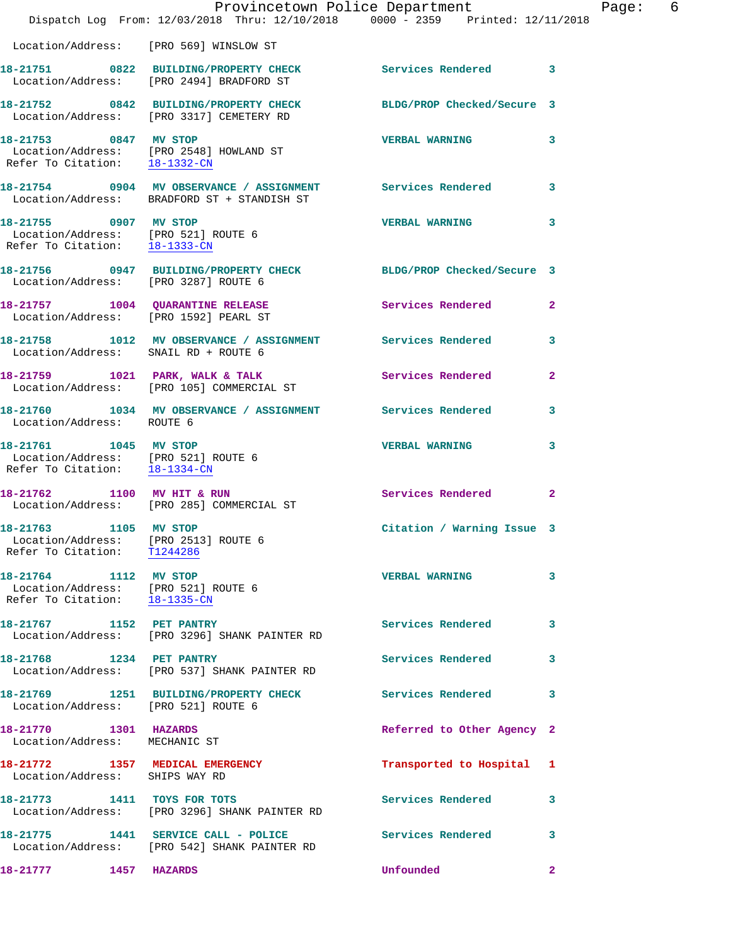|                                                                                                            | Provincetown Police Department<br>Dispatch Log From: 12/03/2018 Thru: 12/10/2018 0000 - 2359 Printed: 12/11/2018 |                            |                |
|------------------------------------------------------------------------------------------------------------|------------------------------------------------------------------------------------------------------------------|----------------------------|----------------|
| Location/Address: [PRO 569] WINSLOW ST                                                                     |                                                                                                                  |                            |                |
|                                                                                                            | 18-21751 0822 BUILDING/PROPERTY CHECK<br>Location/Address: [PRO 2494] BRADFORD ST                                | Services Rendered 3        |                |
|                                                                                                            | 18-21752 0842 BUILDING/PROPERTY CHECK BLDG/PROP Checked/Secure 3<br>Location/Address: [PRO 3317] CEMETERY RD     |                            |                |
| 18-21753 0847 MV STOP                                                                                      | Location/Address: [PRO 2548] HOWLAND ST<br>Refer To Citation: <u>18-1332-CN</u>                                  | <b>VERBAL WARNING</b>      | 3              |
|                                                                                                            | 18-21754 0904 MV OBSERVANCE / ASSIGNMENT Services Rendered<br>Location/Address: BRADFORD ST + STANDISH ST        |                            | 3              |
| 18-21755 0907 MV STOP<br>Location/Address: [PRO 521] ROUTE 6<br>Refer To Citation: 18-1333-CN              |                                                                                                                  | <b>VERBAL WARNING</b>      | 3              |
|                                                                                                            | 18-21756 0947 BUILDING/PROPERTY CHECK BLDG/PROP Checked/Secure 3<br>Location/Address: [PRO 3287] ROUTE 6         |                            |                |
| Location/Address: [PRO 1592] PEARL ST                                                                      | 18-21757 1004 QUARANTINE RELEASE                                                                                 | Services Rendered          | $\overline{2}$ |
| Location/Address: SNAIL RD + ROUTE 6                                                                       | 18-21758 1012 MV OBSERVANCE / ASSIGNMENT Services Rendered                                                       |                            | 3              |
|                                                                                                            | 18-21759 1021 PARK, WALK & TALK<br>Location/Address: [PRO 105] COMMERCIAL ST                                     | Services Rendered          | $\mathbf{2}$   |
| Location/Address: ROUTE 6                                                                                  | 18-21760 1034 MV OBSERVANCE / ASSIGNMENT Services Rendered                                                       |                            | 3              |
| 18-21761 1045 MV STOP<br>Location/Address: [PRO 521] ROUTE 6<br>Refer To Citation: $\frac{18-1334-CN}{\ }$ |                                                                                                                  | <b>VERBAL WARNING</b>      | 3              |
| 18-21762                                                                                                   | 1100 MV HIT & RUN<br>Location/Address: [PRO 285] COMMERCIAL ST                                                   | Services Rendered          | $\overline{2}$ |
| 18-21763 1105 MV STOP<br>Location/Address: [PRO 2513] ROUTE 6<br>Refer To Citation: T1244286               |                                                                                                                  | Citation / Warning Issue 3 |                |
| 18-21764 1112 MV STOP<br>Location/Address: [PRO 521] ROUTE 6<br>Refer To Citation: 18-1335-CN              |                                                                                                                  | <b>VERBAL WARNING</b>      | 3              |
| 18-21767 1152 PET PANTRY                                                                                   | Location/Address: [PRO 3296] SHANK PAINTER RD                                                                    | Services Rendered          | 3              |
| 18-21768 1234 PET PANTRY                                                                                   | Location/Address: [PRO 537] SHANK PAINTER RD                                                                     | Services Rendered          | 3              |
|                                                                                                            | 18-21769 1251 BUILDING/PROPERTY CHECK<br>Location/Address: [PRO 521] ROUTE 6                                     | Services Rendered          | 3              |
| 18-21770 1301 HAZARDS<br>Location/Address: MECHANIC ST                                                     |                                                                                                                  | Referred to Other Agency 2 |                |
| 18-21772 1357 MEDICAL EMERGENCY<br>Location/Address: SHIPS WAY RD                                          |                                                                                                                  | Transported to Hospital    | 1              |
| 18-21773 1411 TOYS FOR TOTS                                                                                | Location/Address: [PRO 3296] SHANK PAINTER RD                                                                    | <b>Services Rendered</b>   | 3              |
|                                                                                                            | 18-21775 1441 SERVICE CALL - POLICE<br>Location/Address: [PRO 542] SHANK PAINTER RD                              | <b>Services Rendered</b>   | 3              |
| 18-21777 1457 HAZARDS                                                                                      |                                                                                                                  | Unfounded                  | $\mathbf{2}$   |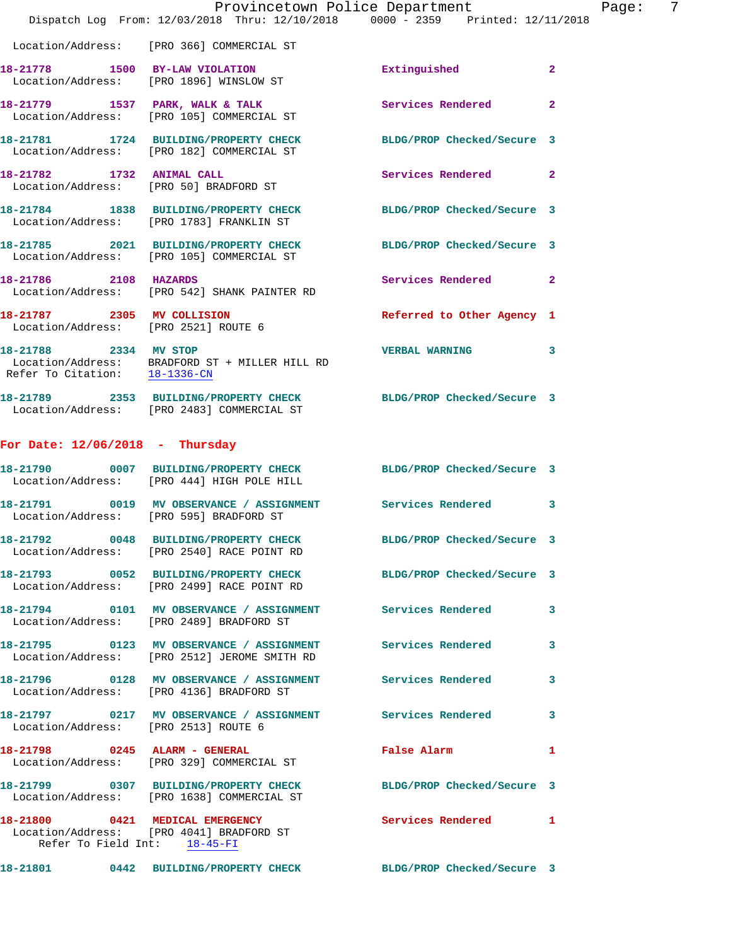|                                      | Provincetown Police Department<br>Dispatch Log From: 12/03/2018 Thru: 12/10/2018 0000 - 2359 Printed: 12/11/2018                    |                            |                |
|--------------------------------------|-------------------------------------------------------------------------------------------------------------------------------------|----------------------------|----------------|
|                                      | Location/Address: [PRO 366] COMMERCIAL ST                                                                                           |                            |                |
|                                      | 18-21778 1500 BY-LAW VIOLATION<br>Location/Address: [PRO 1896] WINSLOW ST                                                           | Extinguished               | $\mathbf{2}$   |
|                                      | 18-21779 1537 PARK, WALK & TALK<br>Location/Address: [PRO 105] COMMERCIAL ST                                                        | Services Rendered          | $\overline{2}$ |
|                                      | 18-21781 1724 BUILDING/PROPERTY CHECK<br>Location/Address: [PRO 182] COMMERCIAL ST                                                  | BLDG/PROP Checked/Secure 3 |                |
| 18-21782 1732 ANIMAL CALL            | Location/Address: [PRO 50] BRADFORD ST                                                                                              | Services Rendered          | $\mathbf{2}$   |
|                                      | 18-21784 1838 BUILDING/PROPERTY CHECK<br>Location/Address: [PRO 1783] FRANKLIN ST                                                   | BLDG/PROP Checked/Secure 3 |                |
|                                      | 18-21785 2021 BUILDING/PROPERTY CHECK<br>Location/Address: [PRO 105] COMMERCIAL ST                                                  | BLDG/PROP Checked/Secure 3 |                |
| 18-21786 2108 HAZARDS                | Location/Address: [PRO 542] SHANK PAINTER RD                                                                                        | Services Rendered          | $\mathbf{2}$   |
| Location/Address: [PRO 2521] ROUTE 6 | 18-21787 2305 MV COLLISION                                                                                                          | Referred to Other Agency 1 |                |
| 18-21788 2334 MV STOP                | $\begin{tabular}{ll} Location/Address: & BRADFORD ST + MILLER HILL RD \\ Refer To Citation: & \underline{18-1336-CN} \end{tabular}$ | <b>VERBAL WARNING</b>      | 3              |
|                                      | 18-21789 2353 BUILDING/PROPERTY CHECK BLDG/PROP Checked/Secure 3<br>Location/Address: [PRO 2483] COMMERCIAL ST                      |                            |                |
| For Date: $12/06/2018$ - Thursday    |                                                                                                                                     |                            |                |
|                                      | 18-21790 0007 BUILDING/PROPERTY CHECK BLDG/PROP Checked/Secure 3<br>Location/Address: [PRO 444] HIGH POLE HILL                      |                            |                |
|                                      | 18-21791 0019 MV OBSERVANCE / ASSIGNMENT Services Rendered<br>Location/Address: [PRO 595] BRADFORD ST                               |                            | 3              |
|                                      | 18-21792 0048 BUILDING/PROPERTY CHECK<br>Location/Address: [PRO 2540] RACE POINT RD                                                 | BLDG/PROP Checked/Secure 3 |                |
|                                      | 18-21793 0052 BUILDING/PROPERTY CHECK<br>Location/Address: [PRO 2499] RACE POINT RD                                                 | BLDG/PROP Checked/Secure 3 |                |
|                                      | 18-21794 0101 MV OBSERVANCE / ASSIGNMENT Services Rendered<br>Location/Address: [PRO 2489] BRADFORD ST                              |                            | 3              |
|                                      | 18-21795 0123 MV OBSERVANCE / ASSIGNMENT Services Rendered<br>Location/Address: [PRO 2512] JEROME SMITH RD                          |                            | 3              |
|                                      | 18-21796 0128 MV OBSERVANCE / ASSIGNMENT Services Rendered<br>Location/Address: [PRO 4136] BRADFORD ST                              |                            | 3              |
| Location/Address: [PRO 2513] ROUTE 6 | 18-21797 0217 MV OBSERVANCE / ASSIGNMENT Services Rendered 3                                                                        |                            |                |
|                                      | 18-21798 0245 ALARM - GENERAL<br>Location/Address: [PRO 329] COMMERCIAL ST                                                          | <b>False Alarm</b>         | 1              |
|                                      | 18-21799 0307 BUILDING/PROPERTY CHECK BLDG/PROP Checked/Secure 3<br>Location/Address: [PRO 1638] COMMERCIAL ST                      |                            |                |
| Refer To Field Int: 18-45-FI         | 18-21800 0421 MEDICAL EMERGENCY<br>Location/Address: [PRO 4041] BRADFORD ST                                                         | Services Rendered          | 1              |
|                                      | 18-21801 0442 BUILDING/PROPERTY CHECK BLDG/PROP Checked/Secure 3                                                                    |                            |                |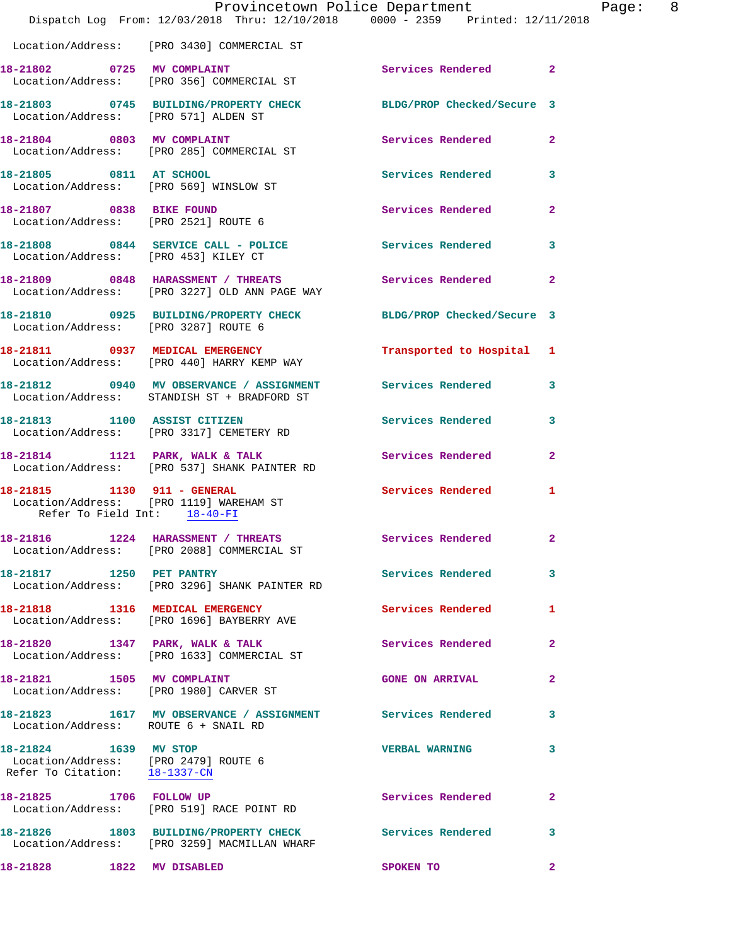|                                                                                                | Provincetown Police Department<br>Dispatch Log From: 12/03/2018 Thru: 12/10/2018 0000 - 2359 Printed: 12/11/2018 |                            |                |
|------------------------------------------------------------------------------------------------|------------------------------------------------------------------------------------------------------------------|----------------------------|----------------|
|                                                                                                | Location/Address: [PRO 3430] COMMERCIAL ST                                                                       |                            |                |
| 18-21802 0725 MV COMPLAINT                                                                     | Location/Address: [PRO 356] COMMERCIAL ST                                                                        | Services Rendered          | $\overline{2}$ |
| Location/Address: [PRO 571] ALDEN ST                                                           | 18-21803 0745 BUILDING/PROPERTY CHECK BLDG/PROP Checked/Secure 3                                                 |                            |                |
|                                                                                                | 18-21804 0803 MV COMPLAINT<br>Location/Address: [PRO 285] COMMERCIAL ST                                          | <b>Services Rendered</b>   | $\overline{a}$ |
| 18-21805 0811 AT SCHOOL<br>Location/Address: [PRO 569] WINSLOW ST                              |                                                                                                                  | <b>Services Rendered</b>   | 3              |
| 18-21807 0838 BIKE FOUND<br>Location/Address: [PRO 2521] ROUTE 6                               |                                                                                                                  | Services Rendered          | $\mathbf{2}$   |
| Location/Address: [PRO 453] KILEY CT                                                           | 18-21808 0844 SERVICE CALL - POLICE                                                                              | <b>Services Rendered</b>   | 3              |
|                                                                                                | 18-21809 0848 HARASSMENT / THREATS<br>Location/Address: [PRO 3227] OLD ANN PAGE WAY                              | Services Rendered          | $\mathbf{2}$   |
| Location/Address: [PRO 3287] ROUTE 6                                                           | 18-21810 0925 BUILDING/PROPERTY CHECK                                                                            | BLDG/PROP Checked/Secure 3 |                |
|                                                                                                | 18-21811 0937 MEDICAL EMERGENCY<br>Location/Address: [PRO 440] HARRY KEMP WAY                                    | Transported to Hospital 1  |                |
|                                                                                                | 18-21812 0940 MV OBSERVANCE / ASSIGNMENT<br>Location/Address: STANDISH ST + BRADFORD ST                          | Services Rendered          | 3              |
| 18-21813 1100 ASSIST CITIZEN                                                                   | Location/Address: [PRO 3317] CEMETERY RD                                                                         | Services Rendered          | 3              |
|                                                                                                | 18-21814 1121 PARK, WALK & TALK<br>Location/Address: [PRO 537] SHANK PAINTER RD                                  | Services Rendered          | $\overline{a}$ |
| 18-21815 1130 911 - GENERAL<br>Refer To Field Int: 18-40-FI                                    | Location/Address: [PRO 1119] WAREHAM ST                                                                          | <b>Services Rendered</b>   | 1              |
|                                                                                                | 18-21816 1224 HARASSMENT / THREATS<br>Location/Address: [PRO 2088] COMMERCIAL ST                                 | Services Rendered          | 2              |
| 18-21817 1250 PET PANTRY                                                                       | Location/Address: [PRO 3296] SHANK PAINTER RD                                                                    | Services Rendered          | 3              |
|                                                                                                | 18-21818 1316 MEDICAL EMERGENCY<br>Location/Address: [PRO 1696] BAYBERRY AVE                                     | Services Rendered          | 1              |
|                                                                                                | 18-21820 1347 PARK, WALK & TALK<br>Location/Address: [PRO 1633] COMMERCIAL ST                                    | <b>Services Rendered</b>   | $\mathbf{2}$   |
| 18-21821 1505 MV COMPLAINT                                                                     | Location/Address: [PRO 1980] CARVER ST                                                                           | <b>GONE ON ARRIVAL</b>     | $\mathbf{2}$   |
| Location/Address: ROUTE 6 + SNAIL RD                                                           | 18-21823 1617 MV OBSERVANCE / ASSIGNMENT Services Rendered                                                       |                            | 3              |
| 18-21824 1639 MV STOP<br>Location/Address: [PRO 2479] ROUTE 6<br>Refer To Citation: 18-1337-CN |                                                                                                                  | <b>VERBAL WARNING</b>      | 3              |
|                                                                                                | 18-21825 1706 FOLLOW UP<br>Location/Address: [PRO 519] RACE POINT RD                                             | Services Rendered          | 2              |
|                                                                                                | 18-21826 1803 BUILDING/PROPERTY CHECK Services Rendered<br>Location/Address: [PRO 3259] MACMILLAN WHARF          |                            | 3              |
| 18-21828 1822 MV DISABLED                                                                      |                                                                                                                  | SPOKEN TO                  | $\mathbf{2}$   |

Page: 8<br>18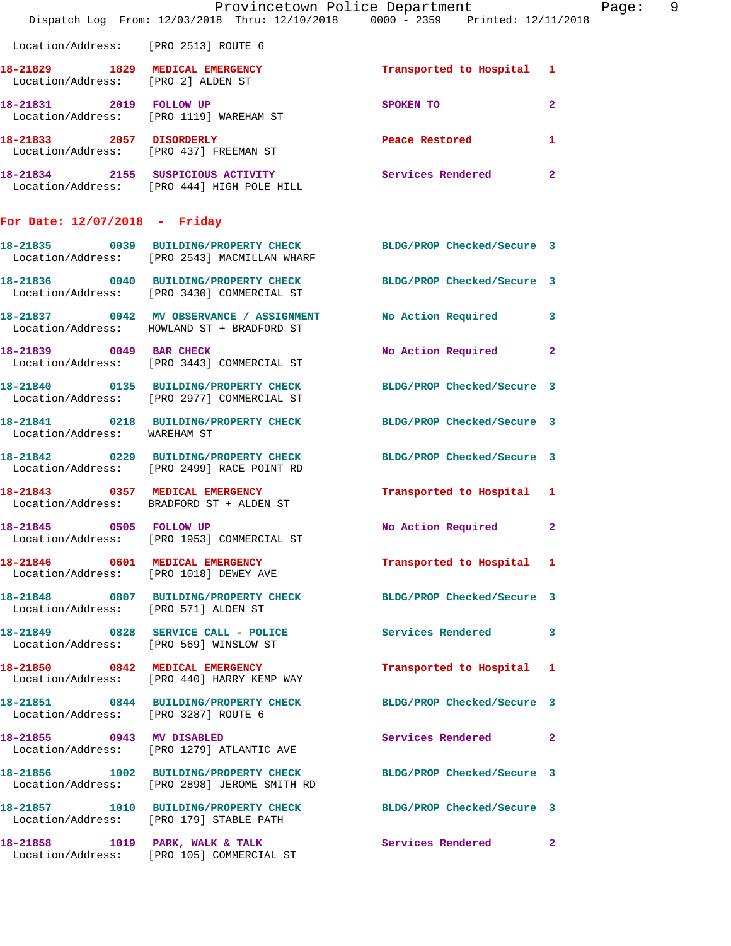|                                      | Provincetown Police Department<br>Dispatch Log From: 12/03/2018 Thru: 12/10/2018 0000 - 2359 Printed: 12/11/2018 |                                         | Page: 9      |
|--------------------------------------|------------------------------------------------------------------------------------------------------------------|-----------------------------------------|--------------|
| Location/Address: [PRO 2513] ROUTE 6 |                                                                                                                  |                                         |              |
| Location/Address: [PRO 2] ALDEN ST   | 18-21829 1829 MEDICAL EMERGENCY                                                                                  | Transported to Hospital 1               |              |
|                                      | 18-21831 2019 FOLLOW UP<br>Location/Address: [PRO 1119] WAREHAM ST                                               | SPOKEN TO DESCRIPTION OF REAL PROPERTY. | $\mathbf{2}$ |
|                                      |                                                                                                                  | Peace Restored and the Peace Restored   | $\mathbf{1}$ |
|                                      | 18-21834 2155 SUSPICIOUS ACTIVITY Services Rendered 2<br>Location/Address: [PRO 444] HIGH POLE HILL              |                                         |              |
| For Date: $12/07/2018$ - Friday      |                                                                                                                  |                                         |              |
|                                      | 18-21835 0039 BUILDING/PROPERTY CHECK BLDG/PROP Checked/Secure 3<br>Location/Address: [PRO 2543] MACMILLAN WHARF |                                         |              |
|                                      | 18-21836 0040 BUILDING/PROPERTY CHECK BLDG/PROP Checked/Secure 3<br>Location/Address: [PRO 3430] COMMERCIAL ST   |                                         |              |
|                                      | 18-21837 0042 MV OBSERVANCE / ASSIGNMENT<br>Location/Address: HOWLAND ST + BRADFORD ST                           | No Action Required 3                    |              |
|                                      | 18-21839 0049 BAR CHECK<br>Location/Address: [PRO 3443] COMMERCIAL ST                                            | No Action Required 2                    |              |
|                                      | 18-21840 0135 BUILDING/PROPERTY CHECK<br>Location/Address: [PRO 2977] COMMERCIAL ST                              | BLDG/PROP Checked/Secure 3              |              |
| Location/Address: WAREHAM ST         | 18-21841 0218 BUILDING/PROPERTY CHECK BLDG/PROP Checked/Secure 3                                                 |                                         |              |
|                                      | 18-21842 0229 BUILDING/PROPERTY CHECK<br>Location/Address: [PRO 2499] RACE POINT RD                              | BLDG/PROP Checked/Secure 3              |              |
|                                      | 18-21843 0357 MEDICAL EMERGENCY<br>Location/Address: BRADFORD ST + ALDEN ST                                      | Transported to Hospital 1               |              |
| 18-21845 0505 FOLLOW UP              | Location/Address: [PRO 1953] COMMERCIAL ST                                                                       | No Action Required                      | $\mathbf{2}$ |
|                                      | 18-21846 0601 MEDICAL EMERGENCY<br>Location/Address: [PRO 1018] DEWEY AVE                                        | Transported to Hospital 1               |              |
| Location/Address: [PRO 571] ALDEN ST | 18-21848 0807 BUILDING/PROPERTY CHECK BLDG/PROP Checked/Secure 3                                                 |                                         |              |
|                                      | 18-21849 0828 SERVICE CALL - POLICE<br>Location/Address: [PRO 569] WINSLOW ST                                    | Services Rendered 3                     |              |
|                                      | 18-21850 0842 MEDICAL EMERGENCY<br>Location/Address: [PRO 440] HARRY KEMP WAY                                    | Transported to Hospital 1               |              |
| Location/Address: [PRO 3287] ROUTE 6 | 18-21851 0844 BUILDING/PROPERTY CHECK BLDG/PROP Checked/Secure 3                                                 |                                         |              |
|                                      | 18-21855 0943 MV DISABLED<br>Location/Address: [PRO 1279] ATLANTIC AVE                                           | Services Rendered 2                     |              |
|                                      | 18-21856 1002 BUILDING/PROPERTY CHECK BLDG/PROP Checked/Secure 3<br>Location/Address: [PRO 2898] JEROME SMITH RD |                                         |              |
|                                      | 18-21857 1010 BUILDING/PROPERTY CHECK BLDG/PROP Checked/Secure 3<br>Location/Address: [PRO 179] STABLE PATH      |                                         |              |
|                                      | 18-21858 1019 PARK, WALK & TALK 1997 Services Rendered 2<br>Location/Address: [PRO 105] COMMERCIAL ST            |                                         |              |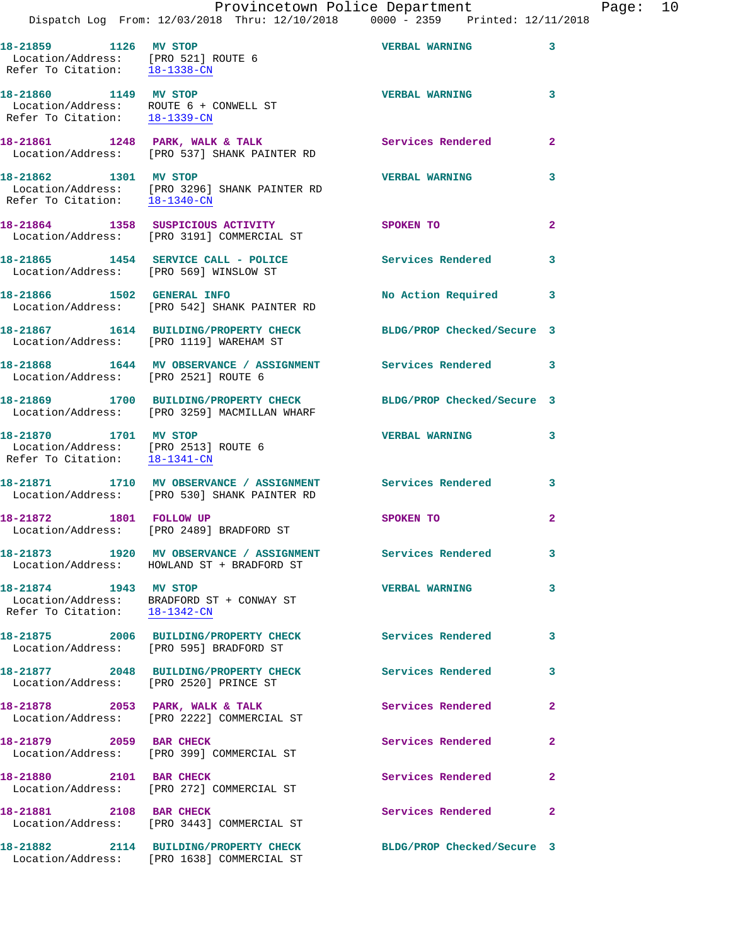|       |  |              | Provincetown Police Department                     |                                 |  | Page: $10$ |  |
|-------|--|--------------|----------------------------------------------------|---------------------------------|--|------------|--|
|       |  |              | Dispatch Log From: $12/03/2018$ Thru: $12/10/2018$ | 0000 - 2359 Printed: 12/11/2018 |  |            |  |
| 21859 |  | 1126 MV STOP |                                                    | <b>VERBAL WARNING</b>           |  |            |  |

| 18-21859 1126 MV STOP<br>Location/Address: [PRO 521] ROUTE 6<br>Refer To Citation: 18-1338-CN                        |                                                                                                          | <b>VERBAL WARNING</b>      | 3              |
|----------------------------------------------------------------------------------------------------------------------|----------------------------------------------------------------------------------------------------------|----------------------------|----------------|
| 18-21860 1149 MV STOP<br>Location/Address: ROUTE 6 + CONWELL ST<br>Refer To Citation: $\frac{18-1339-\text{CN}}{28}$ |                                                                                                          | <b>VERBAL WARNING</b>      | 3              |
|                                                                                                                      | 18-21861 1248 PARK, WALK & TALK<br>Location/Address: [PRO 537] SHANK PAINTER RD                          | Services Rendered          | $\overline{2}$ |
| 18-21862 1301 MV STOP<br>Refer To Citation: 18-1340-CN                                                               | Location/Address: [PRO 3296] SHANK PAINTER RD                                                            | <b>VERBAL WARNING</b>      | 3              |
|                                                                                                                      | 18-21864 1358 SUSPICIOUS ACTIVITY<br>Location/Address: [PRO 3191] COMMERCIAL ST                          | SPOKEN TO                  | $\overline{2}$ |
| Location/Address: [PRO 569] WINSLOW ST                                                                               | 18-21865 1454 SERVICE CALL - POLICE                                                                      | <b>Services Rendered</b>   | 3              |
| 18-21866 1502 GENERAL INFO                                                                                           | Location/Address: [PRO 542] SHANK PAINTER RD                                                             | No Action Required         | 3              |
|                                                                                                                      | 18-21867 1614 BUILDING/PROPERTY CHECK<br>Location/Address: [PRO 1119] WAREHAM ST                         | BLDG/PROP Checked/Secure 3 |                |
| Location/Address: [PRO 2521] ROUTE 6                                                                                 | 18-21868 1644 MV OBSERVANCE / ASSIGNMENT Services Rendered 3                                             |                            |                |
|                                                                                                                      | 18-21869 1700 BUILDING/PROPERTY CHECK<br>Location/Address: [PRO 3259] MACMILLAN WHARF                    | BLDG/PROP Checked/Secure 3 |                |
| 18-21870 1701 MV STOP<br>Location/Address: [PRO 2513] ROUTE 6<br>Refer To Citation: 18-1341-CN                       |                                                                                                          | <b>VERBAL WARNING</b>      | 3              |
|                                                                                                                      | 18-21871 1710 MV OBSERVANCE / ASSIGNMENT<br>Location/Address: [PRO 530] SHANK PAINTER RD                 | <b>Services Rendered</b>   | 3              |
| 18-21872 1801 FOLLOW UP                                                                                              | Location/Address: [PRO 2489] BRADFORD ST                                                                 | SPOKEN TO                  | $\overline{2}$ |
|                                                                                                                      | 18-21873 1920 MV OBSERVANCE / ASSIGNMENT Services Rendered<br>Location/Address: HOWLAND ST + BRADFORD ST |                            | 3              |
| 18-21874 1943 MV STOP                                                                                                | Location/Address: BRADFORD ST + CONWAY ST<br>Refer To Citation: $18-1342-CN$                             | <b>VERBAL WARNING</b>      | 3              |
|                                                                                                                      | 18-21875 2006 BUILDING/PROPERTY CHECK<br>Location/Address: [PRO 595] BRADFORD ST                         | Services Rendered          | 3              |
| Location/Address: [PRO 2520] PRINCE ST                                                                               | 18-21877 2048 BUILDING/PROPERTY CHECK                                                                    | <b>Services Rendered</b>   | 3              |
|                                                                                                                      | 18-21878 2053 PARK, WALK & TALK<br>Location/Address: [PRO 2222] COMMERCIAL ST                            | Services Rendered          | $\overline{a}$ |
| 18-21879 2059 BAR CHECK                                                                                              | Location/Address: [PRO 399] COMMERCIAL ST                                                                | Services Rendered          | $\overline{2}$ |
| 18-21880 2101 BAR CHECK                                                                                              | Location/Address: [PRO 272] COMMERCIAL ST                                                                | Services Rendered          | $\overline{2}$ |
| 18-21881 2108 BAR CHECK                                                                                              | Location/Address: [PRO 3443] COMMERCIAL ST                                                               | Services Rendered          | $\mathbf{2}$   |
|                                                                                                                      |                                                                                                          | BLDG/PROP Checked/Secure 3 |                |

Location/Address: [PRO 1638] COMMERCIAL ST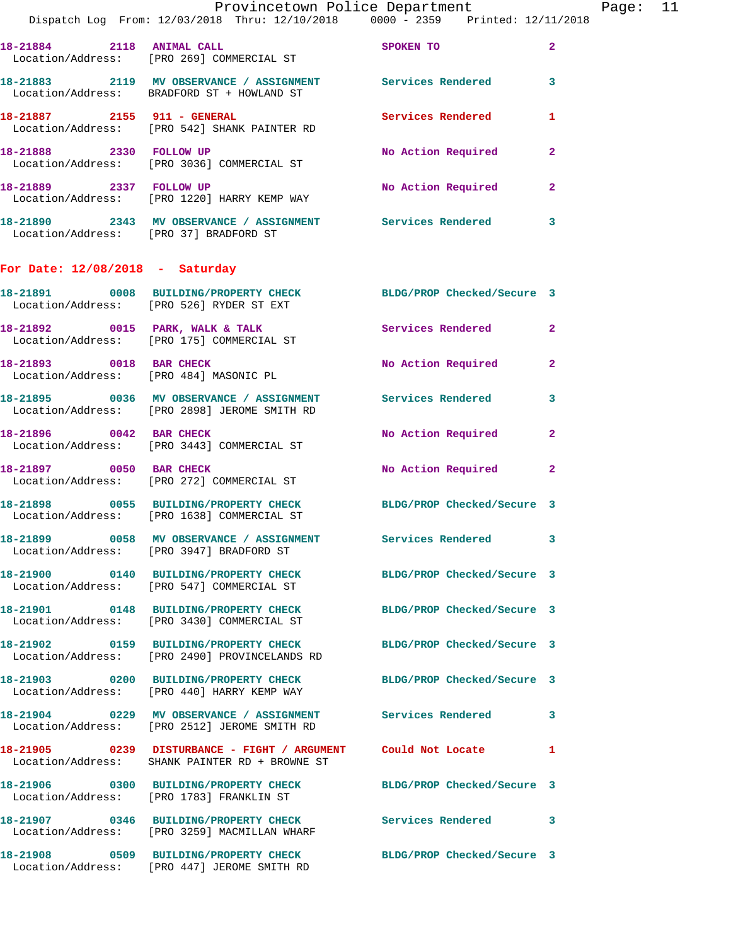|                                        | Dispatch Log From: 12/03/2018 Thru: 12/10/2018 0000 - 2359 Printed: 12/11/2018                                  | Provincetown Police Department | Page: 11     |  |
|----------------------------------------|-----------------------------------------------------------------------------------------------------------------|--------------------------------|--------------|--|
| 18-21884 2118 ANIMAL CALL              | Location/Address: [PRO 269] COMMERCIAL ST                                                                       | SPOKEN TO                      | $\mathbf{2}$ |  |
|                                        | 18-21883 2119 MV OBSERVANCE / ASSIGNMENT Services Rendered<br>Location/Address: BRADFORD ST + HOWLAND ST        |                                | 3            |  |
|                                        | 18-21887 2155 911 - GENERAL<br>Location/Address: [PRO 542] SHANK PAINTER RD                                     | Services Rendered              | 1            |  |
| 18-21888 2330 FOLLOW UP                | Location/Address: [PRO 3036] COMMERCIAL ST                                                                      | No Action Required             | $\mathbf{2}$ |  |
|                                        | 18-21889 2337 FOLLOW UP<br>Location/Address: [PRO 1220] HARRY KEMP WAY                                          | No Action Required             | $\mathbf{2}$ |  |
| Location/Address: [PRO 37] BRADFORD ST | 18-21890 2343 MV OBSERVANCE / ASSIGNMENT Services Rendered                                                      |                                | 3            |  |
| For Date: $12/08/2018$ - Saturday      |                                                                                                                 |                                |              |  |
|                                        | 18-21891 0008 BUILDING/PROPERTY CHECK BLDG/PROP Checked/Secure 3<br>Location/Address: [PRO 526] RYDER ST EXT    |                                |              |  |
|                                        | 18-21892 0015 PARK, WALK & TALK<br>Location/Address: [PRO 175] COMMERCIAL ST                                    | Services Rendered              | $\mathbf{2}$ |  |
|                                        | 18-21893 0018 BAR CHECK<br>Location/Address: [PRO 484] MASONIC PL                                               | No Action Required             | $\mathbf{2}$ |  |
|                                        | 18-21895 0036 MV OBSERVANCE / ASSIGNMENT Services Rendered<br>Location/Address: [PRO 2898] JEROME SMITH RD      |                                | 3            |  |
|                                        | 18-21896 0042 BAR CHECK<br>Location/Address: [PRO 3443] COMMERCIAL ST                                           | No Action Required             | $\mathbf{2}$ |  |
| 18-21897 0050 BAR CHECK                | Location/Address: [PRO 272] COMMERCIAL ST                                                                       | No Action Required             | $\mathbf{2}$ |  |
|                                        | 18-21898 0055 BUILDING/PROPERTY CHECK BLDG/PROP Checked/Secure 3<br>Location/Address: [PRO 1638] COMMERCIAL ST  |                                |              |  |
|                                        | 18-21899 0058 MV OBSERVANCE / ASSIGNMENT<br>Location/Address: [PRO 3947] BRADFORD ST                            | Services Rendered 3            |              |  |
|                                        | 18-21900 0140 BUILDING/PROPERTY CHECK BLDG/PROP Checked/Secure 3<br>Location/Address: [PRO 547] COMMERCIAL ST   |                                |              |  |
|                                        | 18-21901 0148 BUILDING/PROPERTY CHECK<br>Location/Address: [PRO 3430] COMMERCIAL ST                             | BLDG/PROP Checked/Secure 3     |              |  |
|                                        | 18-21902 0159 BUILDING/PROPERTY CHECK<br>Location/Address: [PRO 2490] PROVINCELANDS RD                          | BLDG/PROP Checked/Secure 3     |              |  |
|                                        | 18-21903 0200 BUILDING/PROPERTY CHECK<br>Location/Address: [PRO 440] HARRY KEMP WAY                             | BLDG/PROP Checked/Secure 3     |              |  |
|                                        | 18-21904 0229 MV OBSERVANCE / ASSIGNMENT Services Rendered<br>Location/Address: [PRO 2512] JEROME SMITH RD      |                                | 3            |  |
|                                        | 18-21905 0239 DISTURBANCE - FIGHT / ARGUMENT Could Not Locate<br>Location/Address: SHANK PAINTER RD + BROWNE ST |                                | 1            |  |
|                                        | 18-21906 0300 BUILDING/PROPERTY CHECK<br>Location/Address: [PRO 1783] FRANKLIN ST                               | BLDG/PROP Checked/Secure 3     |              |  |
|                                        | 18-21907 0346 BUILDING/PROPERTY CHECK<br>Location/Address: [PRO 3259] MACMILLAN WHARF                           | Services Rendered              | 3            |  |
|                                        | 18-21908 0509 BUILDING/PROPERTY CHECK BLDG/PROP Checked/Secure 3<br>Location/Address: [PRO 447] JEROME SMITH RD |                                |              |  |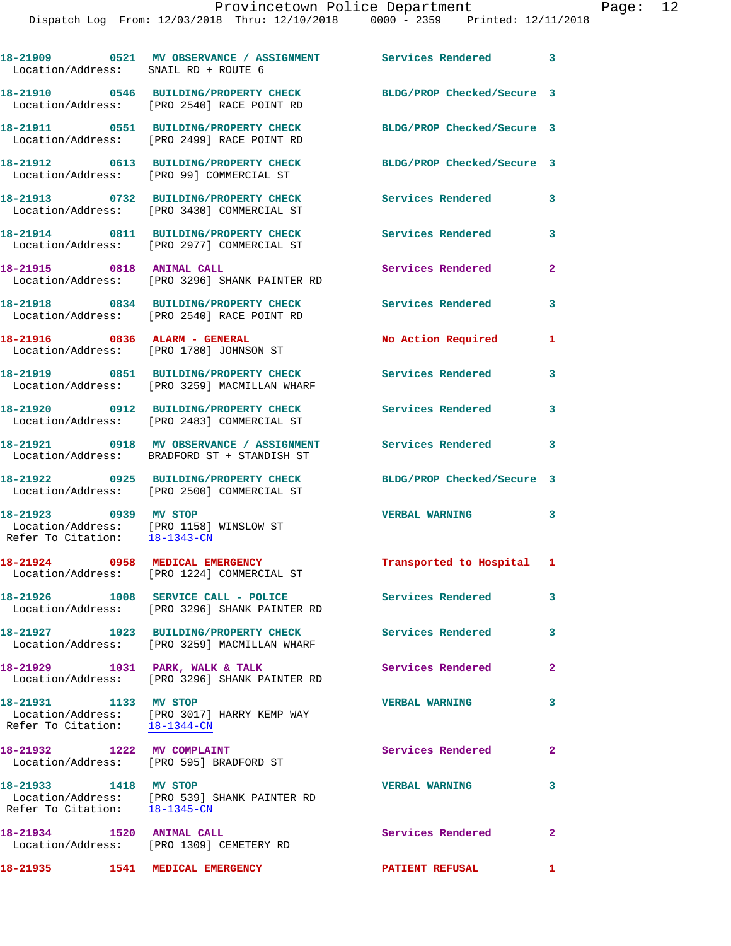| Location/Address: SNAIL RD + ROUTE 6                               | 18-21909 0521 MV OBSERVANCE / ASSIGNMENT Services Rendered 3                                              |                                    |                         |
|--------------------------------------------------------------------|-----------------------------------------------------------------------------------------------------------|------------------------------------|-------------------------|
|                                                                    | 18-21910 0546 BUILDING/PROPERTY CHECK<br>Location/Address: [PRO 2540] RACE POINT RD                       | BLDG/PROP Checked/Secure 3         |                         |
|                                                                    | 18-21911 0551 BUILDING/PROPERTY CHECK<br>Location/Address: [PRO 2499] RACE POINT RD                       | BLDG/PROP Checked/Secure 3         |                         |
|                                                                    | 18-21912 0613 BUILDING/PROPERTY CHECK<br>Location/Address: [PRO 99] COMMERCIAL ST                         | BLDG/PROP Checked/Secure 3         |                         |
|                                                                    | 18-21913 0732 BUILDING/PROPERTY CHECK<br>Location/Address: [PRO 3430] COMMERCIAL ST                       | Services Rendered                  | 3                       |
|                                                                    | 18-21914 0811 BUILDING/PROPERTY CHECK<br>Location/Address: [PRO 2977] COMMERCIAL ST                       | <b>Services Rendered</b>           | 3                       |
| 18-21915 0818 ANIMAL CALL                                          | Location/Address: [PRO 3296] SHANK PAINTER RD                                                             | <b>Services Rendered</b>           | $\mathbf{2}$            |
|                                                                    | 18-21918 0834 BUILDING/PROPERTY CHECK<br>Location/Address: [PRO 2540] RACE POINT RD                       | Services Rendered                  | 3                       |
| 18-21916 0836 ALARM - GENERAL                                      | Location/Address: [PRO 1780] JOHNSON ST                                                                   | No Action Required                 | 1                       |
|                                                                    | 18-21919 0851 BUILDING/PROPERTY CHECK<br>Location/Address: [PRO 3259] MACMILLAN WHARF                     | Services Rendered                  | 3                       |
|                                                                    | 18-21920 0912 BUILDING/PROPERTY CHECK<br>Location/Address: [PRO 2483] COMMERCIAL ST                       | Services Rendered                  | 3                       |
| Location/Address:                                                  | 18-21921 0918 MV OBSERVANCE / ASSIGNMENT<br>BRADFORD ST + STANDISH ST                                     | <b>Services Rendered</b>           | 3                       |
|                                                                    | 18-21922 0925 BUILDING/PROPERTY CHECK<br>Location/Address: [PRO 2500] COMMERCIAL ST                       | BLDG/PROP Checked/Secure 3         |                         |
| 18-21923 0939 MV STOP                                              | Location/Address: [PRO 1158] WINSLOW ST<br>Refer To Citation: 18-1343-CN                                  | <b>VERBAL WARNING</b>              | 3                       |
| 18-21924                                                           | 0958 MEDICAL EMERGENCY<br>Location/Address: [PRO 1224] COMMERCIAL ST                                      | Transported to Hospital 1          |                         |
|                                                                    | 18-21926 1008 SERVICE CALL - POLICE<br>Location/Address: [PRO 3296] SHANK PAINTER RD                      | Services Rendered                  | $\overline{\mathbf{3}}$ |
|                                                                    | 18-21927 1023 BUILDING/PROPERTY CHECK Services Rendered 3<br>Location/Address: [PRO 3259] MACMILLAN WHARF |                                    |                         |
|                                                                    | 18-21929 1031 PARK, WALK & TALK<br>Location/Address: [PRO 3296] SHANK PAINTER RD                          | Services Rendered                  | $\overline{2}$          |
| 18-21931 1133 MV STOP<br>Refer To Citation: $\frac{18-1344-CN}{2}$ | Location/Address: [PRO 3017] HARRY KEMP WAY                                                               | <b>VERBAL WARNING</b>              | 3                       |
|                                                                    | 18-21932 1222 MV COMPLAINT<br>Location/Address: [PRO 595] BRADFORD ST                                     | Services Rendered                  | $\mathbf{2}$            |
| 18-21933 1418 MV STOP                                              | Location/Address: [PRO 539] SHANK PAINTER RD<br>Refer To Citation: $18-1345$ -CN                          | <b>VERBAL WARNING</b>              | 3                       |
| 18-21934 1520 ANIMAL CALL                                          | Location/Address: [PRO 1309] CEMETERY RD                                                                  | Services Rendered 2                |                         |
| 18-21935   1541   MEDICAL EMERGENCY                                |                                                                                                           | <b>PATIENT REFUSAL</b><br>$\sim$ 1 |                         |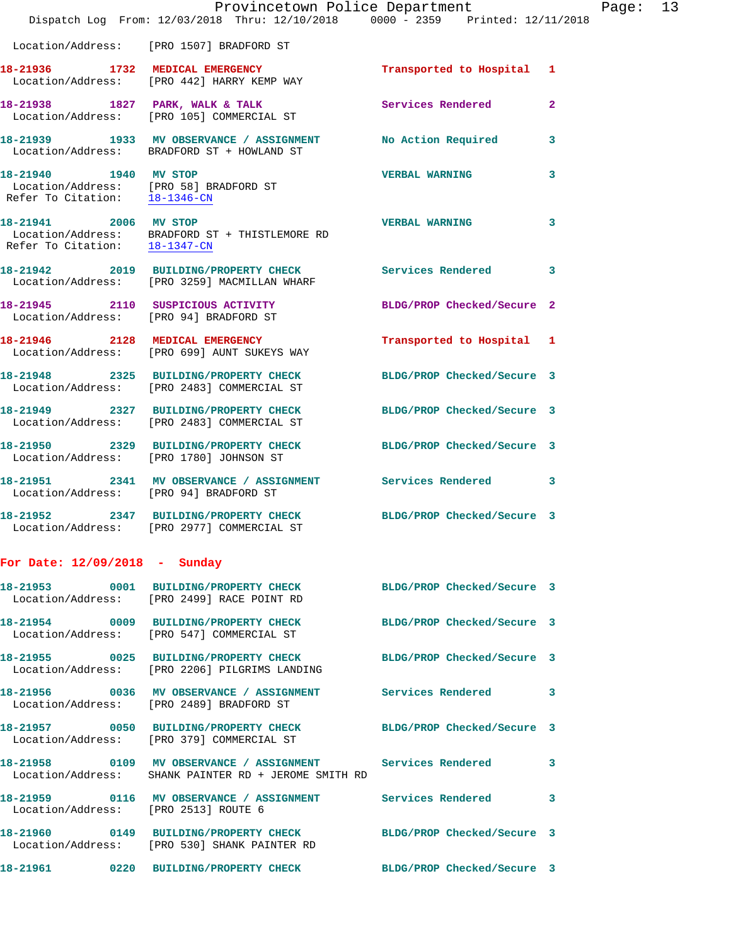|                               | Provincetown Police Department<br>Dispatch Log From: 12/03/2018 Thru: 12/10/2018 0000 - 2359 Printed: 12/11/2018      |                            |                |
|-------------------------------|-----------------------------------------------------------------------------------------------------------------------|----------------------------|----------------|
|                               | Location/Address: [PRO 1507] BRADFORD ST                                                                              |                            |                |
|                               | 18-21936 1732 MEDICAL EMERGENCY<br>Location/Address: [PRO 442] HARRY KEMP WAY                                         | Transported to Hospital 1  |                |
|                               | 18-21938 1827 PARK, WALK & TALK<br>Location/Address: [PRO 105] COMMERCIAL ST                                          | <b>Services Rendered</b>   | $\overline{a}$ |
|                               | 18-21939 1933 MV OBSERVANCE / ASSIGNMENT<br>Location/Address: BRADFORD ST + HOWLAND ST                                | No Action Required         | 3              |
| 18-21940 1940 MV STOP         | Location/Address: [PRO 58] BRADFORD ST<br>Refer To Citation: $\frac{18-1346-CN}{18-136C}$                             | <b>VERBAL WARNING</b>      | 3              |
| 18-21941 2006 MV STOP         | $\texttt{Location/Address:} \texttt{BRADFORD ST + THISTLEMORE RD} \\ \texttt{Refer To citation:} \texttt{18-1347-CN}$ | <b>VERBAL WARNING</b>      | 3              |
|                               | 18-21942 2019 BUILDING/PROPERTY CHECK<br>Location/Address: [PRO 3259] MACMILLAN WHARF                                 | Services Rendered          | 3              |
|                               | 18-21945 2110 SUSPICIOUS ACTIVITY<br>Location/Address: [PRO 94] BRADFORD ST                                           | BLDG/PROP Checked/Secure 2 |                |
|                               | 18-21946 2128 MEDICAL EMERGENCY<br>Location/Address: [PRO 699] AUNT SUKEYS WAY                                        | Transported to Hospital 1  |                |
|                               | 18-21948 2325 BUILDING/PROPERTY CHECK<br>Location/Address: [PRO 2483] COMMERCIAL ST                                   | BLDG/PROP Checked/Secure 3 |                |
|                               | 18-21949 2327 BUILDING/PROPERTY CHECK<br>Location/Address: [PRO 2483] COMMERCIAL ST                                   | BLDG/PROP Checked/Secure 3 |                |
|                               | 18-21950 2329 BUILDING/PROPERTY CHECK<br>Location/Address: [PRO 1780] JOHNSON ST                                      | BLDG/PROP Checked/Secure 3 |                |
|                               | 18-21951 2341 MV OBSERVANCE / ASSIGNMENT Services Rendered<br>Location/Address: [PRO 94] BRADFORD ST                  |                            | 3              |
|                               | 18-21952 2347 BUILDING/PROPERTY CHECK<br>Location/Address: [PRO 2977] COMMERCIAL ST                                   | BLDG/PROP Checked/Secure 3 |                |
| For Date: 12/09/2018 - Sunday |                                                                                                                       |                            |                |
|                               | 18-21953 0001 BUILDING/PROPERTY CHECK BLDG/PROP Checked/Secure 3<br>Location/Address: [PRO 2499] RACE POINT RD        |                            |                |
|                               | 18-21954 0009 BUILDING/PROPERTY CHECK BLDG/PROP Checked/Secure 3<br>Location/Address: [PRO 547] COMMERCIAL ST         |                            |                |
|                               | 18-21955 0025 BUILDING/PROPERTY CHECK BLDG/PROP Checked/Secure 3<br>Location/Address: [PRO 2206] PILGRIMS LANDING     |                            |                |
|                               | 18-21956 0036 MV OBSERVANCE / ASSIGNMENT Services Rendered<br>Location/Address: [PRO 2489] BRADFORD ST                |                            | 3              |
|                               | 18-21957 0050 BUILDING/PROPERTY CHECK BLDG/PROP Checked/Secure 3<br>Location/Address: [PRO 379] COMMERCIAL ST         |                            |                |
|                               | 18-21958 0109 MV OBSERVANCE / ASSIGNMENT Services Rendered<br>Location/Address: SHANK PAINTER RD + JEROME SMITH RD    |                            | 3              |
|                               | 18-21959 0116 MV OBSERVANCE / ASSIGNMENT Services Rendered<br>Location/Address: [PRO 2513] ROUTE 6                    |                            | 3              |
|                               | 18-21960 0149 BUILDING/PROPERTY CHECK BLDG/PROP Checked/Secure 3<br>Location/Address: [PRO 530] SHANK PAINTER RD      |                            |                |
|                               | 18-21961 0220 BUILDING/PROPERTY CHECK BLDG/PROP Checked/Secure 3                                                      |                            |                |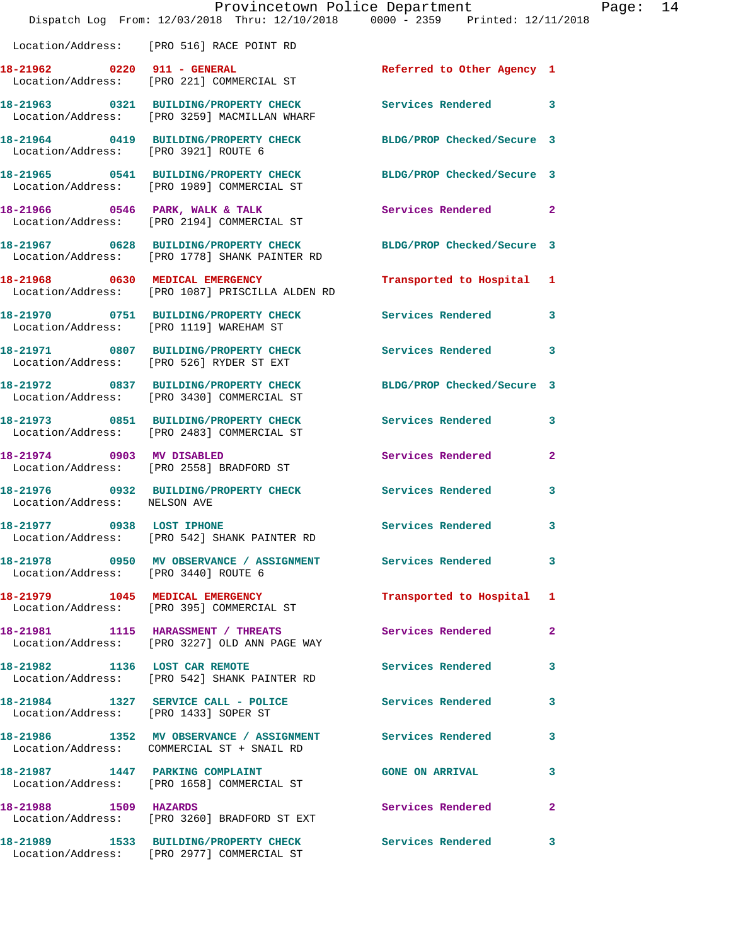|                                         | Provincetown Police Department<br>Dispatch Log From: 12/03/2018 Thru: 12/10/2018 0000 - 2359 Printed: 12/11/2018 |                            |                |
|-----------------------------------------|------------------------------------------------------------------------------------------------------------------|----------------------------|----------------|
|                                         | Location/Address: [PRO 516] RACE POINT RD                                                                        |                            |                |
| 18-21962 0220 911 - GENERAL             | Location/Address: [PRO 221] COMMERCIAL ST                                                                        | Referred to Other Agency 1 |                |
|                                         | 18-21963 0321 BUILDING/PROPERTY CHECK<br>Location/Address: [PRO 3259] MACMILLAN WHARF                            | <b>Services Rendered</b>   | 3              |
| Location/Address: [PRO 3921] ROUTE 6    | 18-21964 0419 BUILDING/PROPERTY CHECK                                                                            | BLDG/PROP Checked/Secure 3 |                |
|                                         | 18-21965 0541 BUILDING/PROPERTY CHECK<br>Location/Address: [PRO 1989] COMMERCIAL ST                              | BLDG/PROP Checked/Secure 3 |                |
|                                         | 18-21966 0546 PARK, WALK & TALK<br>Location/Address: [PRO 2194] COMMERCIAL ST                                    | Services Rendered          | $\overline{2}$ |
|                                         | 18-21967 0628 BUILDING/PROPERTY CHECK<br>Location/Address: [PRO 1778] SHANK PAINTER RD                           | BLDG/PROP Checked/Secure 3 |                |
|                                         | 18-21968 0630 MEDICAL EMERGENCY<br>Location/Address: [PRO 1087] PRISCILLA ALDEN RD                               | Transported to Hospital    | 1              |
| Location/Address: [PRO 1119] WAREHAM ST | 18-21970 0751 BUILDING/PROPERTY CHECK                                                                            | <b>Services Rendered</b>   | 3              |
|                                         | 18-21971 0807 BUILDING/PROPERTY CHECK<br>Location/Address: [PRO 526] RYDER ST EXT                                | <b>Services Rendered</b>   | 3              |
|                                         | 18-21972 0837 BUILDING/PROPERTY CHECK BLDG/PROP Checked/Secure 3<br>Location/Address: [PRO 3430] COMMERCIAL ST   |                            |                |
|                                         | 18-21973 0851 BUILDING/PROPERTY CHECK<br>Location/Address: [PRO 2483] COMMERCIAL ST                              | <b>Services Rendered</b>   | 3              |
| 18-21974 0903 MV DISABLED               | Location/Address: [PRO 2558] BRADFORD ST                                                                         | Services Rendered          | $\mathbf{2}$   |
| Location/Address: NELSON AVE            | 18-21976 0932 BUILDING/PROPERTY CHECK                                                                            | <b>Services Rendered</b>   | 3              |
| 18-21977 0938 LOST IPHONE               | Location/Address: [PRO 542] SHANK PAINTER RD                                                                     | Services Rendered          | 3              |
| Location/Address: [PRO 3440] ROUTE 6    |                                                                                                                  |                            | 3              |
|                                         | 18-21979 1045 MEDICAL EMERGENCY<br>Location/Address: [PRO 395] COMMERCIAL ST                                     | Transported to Hospital    | 1              |
|                                         | 18-21981 1115 HARASSMENT / THREATS<br>Location/Address: [PRO 3227] OLD ANN PAGE WAY                              | <b>Services Rendered</b>   | $\mathbf{2}$   |
| 18-21982 1136 LOST CAR REMOTE           | Location/Address: [PRO 542] SHANK PAINTER RD                                                                     | Services Rendered          | 3              |
| Location/Address: [PRO 1433] SOPER ST   | 18-21984 1327 SERVICE CALL - POLICE                                                                              | <b>Services Rendered</b>   | 3              |
|                                         | 18-21986 1352 MV OBSERVANCE / ASSIGNMENT Services Rendered<br>Location/Address: COMMERCIAL ST + SNAIL RD         |                            | 3              |
|                                         | 18-21987 1447 PARKING COMPLAINT<br>Location/Address: [PRO 1658] COMMERCIAL ST                                    | <b>GONE ON ARRIVAL</b>     | 3              |
| 18-21988 1509 HAZARDS                   | Location/Address: [PRO 3260] BRADFORD ST EXT                                                                     | Services Rendered          | $\mathbf{2}$   |
|                                         | 18-21989 1533 BUILDING/PROPERTY CHECK Services Rendered<br>Location/Address: [PRO 2977] COMMERCIAL ST            |                            | 3              |

Page: 14<br>
18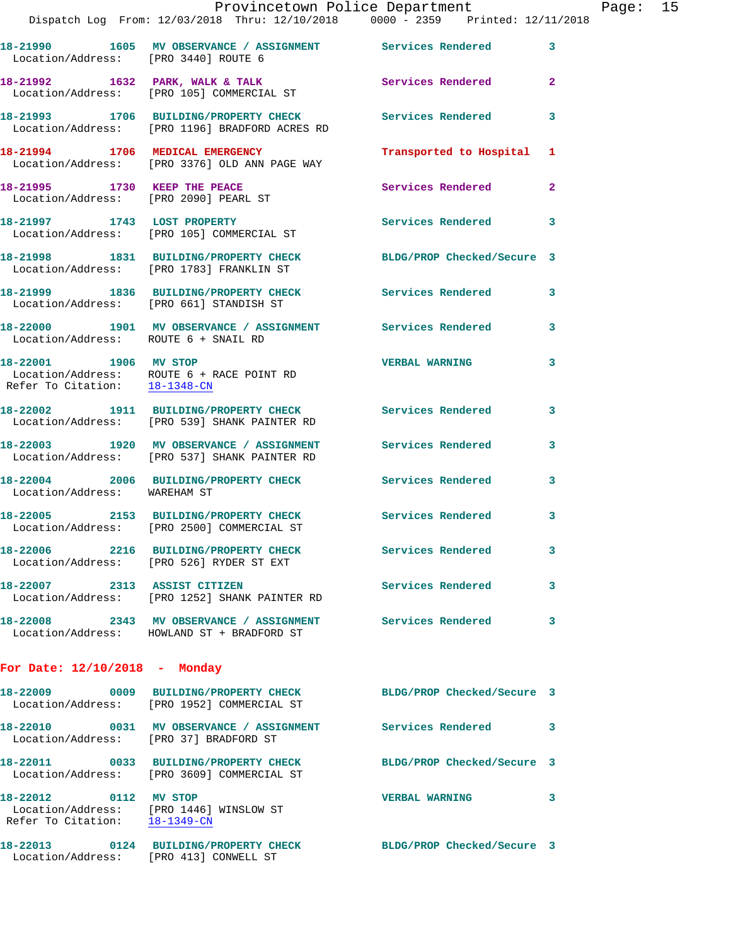|                                      | Provincetown Police Department                                                                               |                          |                |
|--------------------------------------|--------------------------------------------------------------------------------------------------------------|--------------------------|----------------|
|                                      | Dispatch Log From: 12/03/2018 Thru: 12/10/2018 0000 - 2359 Printed: 12/11/2018                               |                          |                |
|                                      | 18-21990 1605 MV OBSERVANCE / ASSIGNMENT Services Rendered<br>Location/Address: [PRO 3440] ROUTE 6           |                          | 3              |
|                                      | 18-21992 1632 PARK, WALK & TALK Services Rendered Location/Address: [PRO 105] COMMERCIAL ST                  |                          | $\overline{2}$ |
|                                      | 18-21993 1706 BUILDING/PROPERTY CHECK Services Rendered<br>Location/Address: [PRO 1196] BRADFORD ACRES RD    |                          | 3              |
|                                      | 18-21994 1706 MEDICAL EMERGENCY<br>Location/Address: [PRO 3376] OLD ANN PAGE WAY                             | Transported to Hospital  | 1              |
|                                      | 18-21995 1730 KEEP THE PEACE<br>Location/Address: [PRO 2090] PEARL ST                                        | Services Rendered        | $\mathbf{2}$   |
|                                      | 18-21997 1743 LOST PROPERTY<br>Location/Address: [PRO 105] COMMERCIAL ST                                     | Services Rendered        | 3              |
|                                      | 18-21998 1831 BUILDING/PROPERTY CHECK BLDG/PROP Checked/Secure 3<br>Location/Address: [PRO 1783] FRANKLIN ST |                          |                |
|                                      | 18-21999 1836 BUILDING/PROPERTY CHECK Services Rendered<br>Location/Address: [PRO 661] STANDISH ST           |                          | 3              |
| Location/Address: ROUTE 6 + SNAIL RD | 18-22000 1901 MV OBSERVANCE / ASSIGNMENT Services Rendered                                                   |                          | 3              |
| 18-22001 1906 MV STOP                | Location/Address: ROUTE 6 + RACE POINT RD<br>Refer To Citation: 18-1348-CN                                   | <b>VERBAL WARNING</b>    | 3              |
|                                      | 18-22002 1911 BUILDING/PROPERTY CHECK Services Rendered<br>Location/Address: [PRO 539] SHANK PAINTER RD      |                          | 3              |
|                                      | 18-22003 1920 MV OBSERVANCE / ASSIGNMENT Services Rendered<br>Location/Address: [PRO 537] SHANK PAINTER RD   |                          | 3              |
| Location/Address: WAREHAM ST         | 18-22004 2006 BUILDING/PROPERTY CHECK Services Rendered                                                      |                          | $\mathbf{3}$   |
|                                      | 18-22005 2153 BUILDING/PROPERTY CHECK Services Rendered<br>Location/Address: [PRO 2500] COMMERCIAL ST        |                          |                |
|                                      | 18-22006 2216 BUILDING/PROPERTY CHECK<br>Location/Address: [PRO 526] RYDER ST EXT                            | <b>Services Rendered</b> | 3              |
| 18-22007 2313 ASSIST CITIZEN         | Location/Address: [PRO 1252] SHANK PAINTER RD                                                                | Services Rendered        | 3              |
|                                      | 18-22008 2343 MV OBSERVANCE / ASSIGNMENT Services Rendered<br>Location/Address: HOWLAND ST + BRADFORD ST     |                          | 3              |
| For Date: $12/10/2018$ - Monday      |                                                                                                              |                          |                |

| 18-22009<br>0009<br>Location/Address:                       | <b>BUILDING/PROPERTY CHECK</b><br>[PRO 1952] COMMERCIAL ST | BLDG/PROP Checked/Secure 3 |   |
|-------------------------------------------------------------|------------------------------------------------------------|----------------------------|---|
| 18-22010<br>0031<br>Location/Address:                       | MV OBSERVANCE / ASSIGNMENT<br>[PRO 37] BRADFORD ST         | Services Rendered          | 3 |
| 18-22011<br>0033<br>Location/Address:                       | <b>BUILDING/PROPERTY CHECK</b><br>FRO 36091 COMMERCIAL ST  | BLDG/PROP Checked/Secure 3 |   |
| 18-22012<br>0112<br>Location/Address:<br>Refer To Citation: | MV STOP<br>[PRO 1446] WINSLOW ST<br>$18 - 1349 - CN$       | <b>VERBAL WARNING</b>      | 3 |
| 18-22013<br>0124<br>Location/Address:                       | <b>BUILDING/PROPERTY CHECK</b><br>FRO 4131 CONWELL ST      | BLDG/PROP Checked/Secure 3 |   |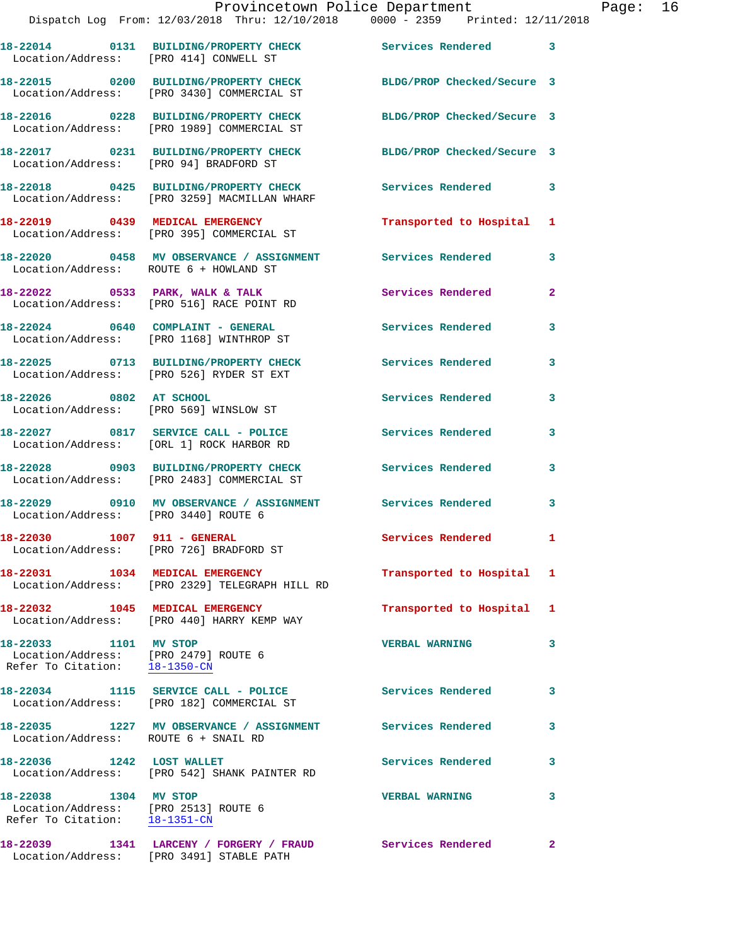| 18-22029<br>0910<br>Location/Address: [PRO 3440] ROUTE 6<br>18-22030<br>Location/Address:<br>18-22031<br>1034<br>Location/Address: | 18-22028 0903 BUILDING/PROPERTY CHECK<br>MV OBSERVANCE / ASSIGNMENT<br>1007 911 - GENERAL<br>[PRO 726] BRADFORD ST<br>MEDICAL EMERGENCY<br>[PRO 2329] TELEGRAPH HILL RD | <b>Services Rendered</b><br>Services Rendered<br>Services Rendered<br>Transported to Hospital | 3<br>3<br>1<br>1 |
|------------------------------------------------------------------------------------------------------------------------------------|-------------------------------------------------------------------------------------------------------------------------------------------------------------------------|-----------------------------------------------------------------------------------------------|------------------|
|                                                                                                                                    |                                                                                                                                                                         |                                                                                               |                  |
|                                                                                                                                    |                                                                                                                                                                         |                                                                                               |                  |
|                                                                                                                                    |                                                                                                                                                                         |                                                                                               |                  |
| Location/Address: [PRO 2483] COMMERCIAL ST                                                                                         |                                                                                                                                                                         |                                                                                               |                  |
| Location/Address: [ORL 1] ROCK HARBOR RD                                                                                           | 18-22027 0817 SERVICE CALL - POLICE                                                                                                                                     | <b>Services Rendered</b>                                                                      | 3                |
| 18-22026 0802 AT SCHOOL<br>Location/Address: [PRO 569] WINSLOW ST                                                                  |                                                                                                                                                                         | Services Rendered                                                                             | 3                |
| Location/Address: [PRO 526] RYDER ST EXT                                                                                           | 18-22025 0713 BUILDING/PROPERTY CHECK Services Rendered                                                                                                                 |                                                                                               | 3                |
| 18-22024 0640 COMPLAINT - GENERAL<br>Location/Address: [PRO 1168] WINTHROP ST                                                      |                                                                                                                                                                         | <b>Services Rendered</b>                                                                      | 3                |
|                                                                                                                                    | 18-22022 0533 PARK, WALK & TALK<br>Location/Address: [PRO 516] RACE POINT RD                                                                                            | <b>Services Rendered</b>                                                                      | 2                |
| Location/Address: ROUTE 6 + HOWLAND ST                                                                                             | 18-22020 0458 MV OBSERVANCE / ASSIGNMENT Services Rendered                                                                                                              |                                                                                               | 3                |
|                                                                                                                                    | 18-22019 0439 MEDICAL EMERGENCY<br>Location/Address: [PRO 395] COMMERCIAL ST                                                                                            | Transported to Hospital                                                                       | 1                |
|                                                                                                                                    | 18-22018 0425 BUILDING/PROPERTY CHECK Services Rendered<br>Location/Address: [PRO 3259] MACMILLAN WHARF                                                                 |                                                                                               | 3                |
| Location/Address: [PRO 94] BRADFORD ST                                                                                             | 18-22017 0231 BUILDING/PROPERTY CHECK BLDG/PROP Checked/Secure 3                                                                                                        |                                                                                               |                  |
|                                                                                                                                    | 18-22016 0228 BUILDING/PROPERTY CHECK<br>Location/Address: [PRO 1989] COMMERCIAL ST                                                                                     | BLDG/PROP Checked/Secure 3                                                                    |                  |
|                                                                                                                                    | 18-22015 0200 BUILDING/PROPERTY CHECK<br>Location/Address: [PRO 3430] COMMERCIAL ST                                                                                     | BLDG/PROP Checked/Secure 3                                                                    |                  |
| Location/Address: [PRO 414] CONWELL ST                                                                                             | 18-22014 0131 BUILDING/PROPERTY CHECK Services Rendered                                                                                                                 |                                                                                               | 3                |
|                                                                                                                                    | Provincetown Police Department<br>Dispatch Log From: 12/03/2018 Thru: 12/10/2018 0000 - 2359 Printed: 12/11/2018                                                        |                                                                                               |                  |

**18-22033 1101 MV STOP VERBAL WARNING 3**  Location/Address: [PRO 2479] ROUTE 6 Refer To Citation: 18-1350-CN

Location/Address: [PRO 440] HARRY KEMP WAY

**18-22034 1115 SERVICE CALL - POLICE Services Rendered 3**  Location/Address: [PRO 182] COMMERCIAL ST

**18-22035 1227 MV OBSERVANCE / ASSIGNMENT Services Rendered 3**  Location/Address: ROUTE 6 + SNAIL RD

 Location/Address: [PRO 2513] ROUTE 6 Refer To Citation: 18-1351-CN

Location/Address: [PRO 3491] STABLE PATH

18-22036 1242 LOST WALLET Services Rendered 3

Location/Address: [PRO 542] SHANK PAINTER RD

**18-22038 1304 MV STOP VERBAL WARNING 3 18-22039 1341 LARCENY / FORGERY / FRAUD Services Rendered 2**